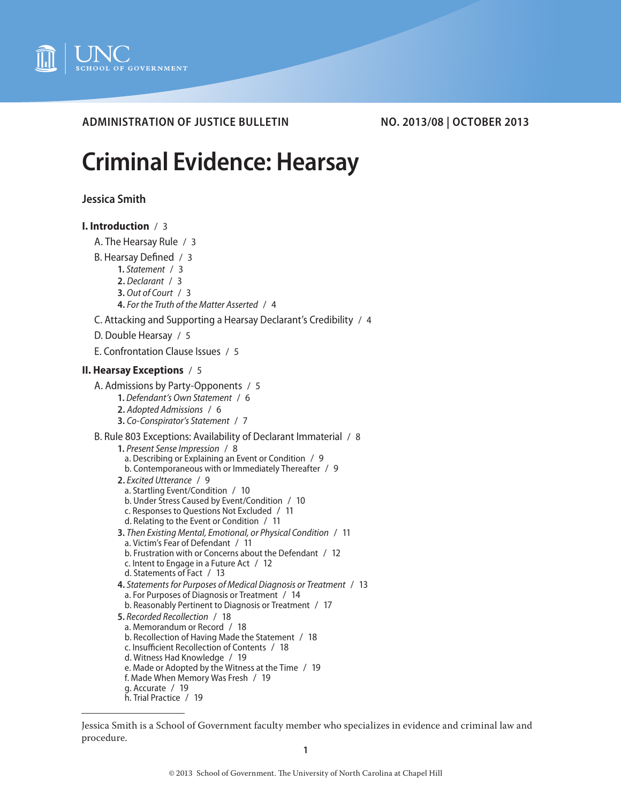

**ADMINISTRATION OF JUSTICE BULLETIN NO. 2013/08 | OCTOBER 2013**

# **Criminal Evidence: Hearsay**

**Jessica Smith**

# **[I. Introduction](#page-2-0)** / 3

- [A. The Hearsay Rule](#page-2-0) / 3
- [B. Hearsay Defined](#page-2-0) / 3
	- **1.** *[Statement](#page-2-0)* / 3
	- **2.** *[Declarant](#page-2-0)* / 3
	- **3.** *[Out of Court](#page-2-0)* / 3
	- **4.** *[For the Truth of the Matter Asserted](#page-3-0)* / 4
- [C. Attacking and Supporting a Hearsay Declarant's Credibility](#page-3-0) / 4
- [D. Double Hearsay](#page-4-0) / 5
- [E. Confrontation Clause Issues](#page-4-0) / 5

## **[II. Hearsay Exceptions](#page-4-0)** / 5

- [A. Admissions by Party-Opponents](#page-4-0) / 5
	- **1.** *[Defendant's Own Statement](#page-5-0)* / 6
		- **2.** *[Adopted Admissions](#page-5-0)* / 6 **3.** *[Co-Conspirator's Statement](#page-6-0)* / 7
- [B. Rule 803 Exceptions: Availability of Declarant Immaterial](#page-7-0) / 8

```
1. Present Sense Impression / 8
 a. Describing or Explaining an Event or Condition / 9
 b. Contemporaneous with or Immediately Thereafter / 9
2. Excited Utterance / 9
 a. Startling Event/Condition / 10
 b. Under Stress Caused by Event/Condition / 10
 c. Responses to Questions Not Excluded / 11
 d. Relating to the Event or Condition / 11
3. Then Existing Mental, Emotional, or Physical Condition / 11
 a. Victim's Fear of Defendant / 11
 b. Frustration with or Concerns about the Defendant / 12
 c. Intent to Engage in a Future Act / 12
 d. Statements of Fact / 13
4. Statements for Purposes of Medical Diagnosis or Treatment / 13
 a. For Purposes of Diagnosis or Treatment / 14
 b. Reasonably Pertinent to Diagnosis or Treatment / 17
5. Recorded Recollection / 18
 a. Memorandum or Record / 18
 b. Recollection of Having Made the Statement / 18
 c. Insufficient Recollection of Contents / 18
 d. Witness Had Knowledge / 19
 e. Made or Adopted by the Witness at the Time / 19
 f. Made When Memory Was Fresh / 19
 g. Accurate / 19
```
[h. Trial Practice](#page-18-0) / 19

Jessica Smith is a School of Government faculty member who specializes in evidence and criminal law and procedure.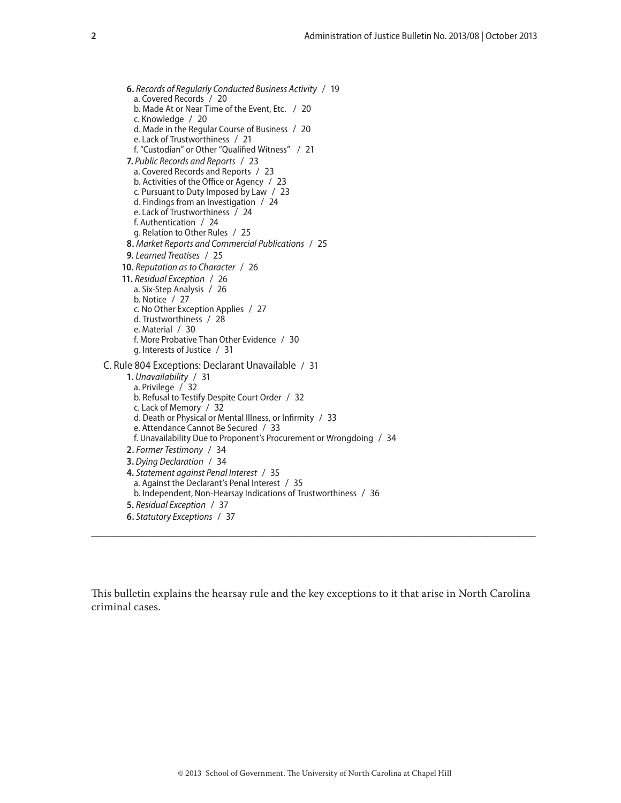**6.** *[Records of Regularly Conducted Business Activity](#page-18-0)* / 19 [a. Covered Records](#page-19-0) / 20 [b. Made At or Near Time of the Event, Etc. /](#page-19-0) 20 [c. Knowledge](#page-19-0) / 20 [d. Made in the Regular Course of Business](#page-19-0) / 20 [e. Lack of Trustworthiness](#page-20-0) / 21 [f. "Custodian" or Other "Qualified Witness" /](#page-20-0) 21 **7.** *[Public Records and Reports](#page-22-0)* / 23 [a. Covered Records and Reports](#page-22-0) / 23 [b. Activities of the Office or Agency](#page-22-0) / 23 [c. Pursuant to Duty Imposed by Law](#page-22-0) / 23 [d. Findings from an Investigation](#page-23-0) / 24 [e. Lack of Trustworthiness](#page-23-0) / 24 [f. Authentication](#page-23-0) / 24 [g. Relation to Other Rules](#page-24-0) / 25 **8.** *[Market Reports and Commercial Publications](#page-24-0)* / 25 **9.** *[Learned Treatises](#page-24-0)* / 25 **10.** *[Reputation as to Character](#page-25-0)* / 26 **11.** *[Residual Exception](#page-25-0)* / 26 [a. Six-Step Analysis](#page-25-0) / 26 [b. Notice](#page-26-0) / 27 [c. No Other Exception Applies](#page-26-0) / 27 [d. Trustworthiness](#page-27-0) / 28 [e. Material](#page-29-0) / 30 [f. More Probative Than Other Evidence](#page-29-0) / 30 [g. Interests of Justice](#page-30-0) / 31 [C. Rule 804 Exceptions: Declarant Unavailable](#page-30-0) / 31 **1.** *[Unavailability](#page-30-0)* / 31 [a. Privilege](#page-31-0) / 32 [b. Refusal to Testify Despite Court Order](#page-31-0) / 32 [c. Lack of Memory](#page-31-0) / 32 [d. Death or Physical or Mental Illness, or Infirmity](#page-32-0) / 33 [e. Attendance Cannot Be Secured](#page-32-0) / 33 [f. Unavailability Due to Proponent's Procurement or Wrongdoing](#page-33-0) / 34 **2.** *[Former Testimony](#page-33-0)* / 34 **3.** *[Dying Declaration](#page-33-0)* / 34 **4.** *[Statement against Penal Interest](#page-34-0)* / 35 [a. Against the Declarant's Penal Interest](#page-34-0) / 35 [b. Independent, Non-Hearsay Indications of Trustworthiness](#page-35-0) / 36 **5.** *[Residual Exception](#page-36-0)* / 37 **6.** *[Statutory Exceptions](#page-36-0)* / 37

This bulletin explains the hearsay rule and the key exceptions to it that arise in North Carolina criminal cases.

**\_\_\_\_\_\_\_\_\_\_\_\_\_\_\_\_\_\_\_\_\_\_\_\_\_\_\_\_\_\_\_\_\_\_\_\_\_\_\_\_\_\_\_\_\_\_\_\_\_\_\_\_\_\_\_\_\_\_\_\_\_\_\_\_\_\_\_\_\_\_\_\_\_\_\_\_\_\_\_\_\_\_\_**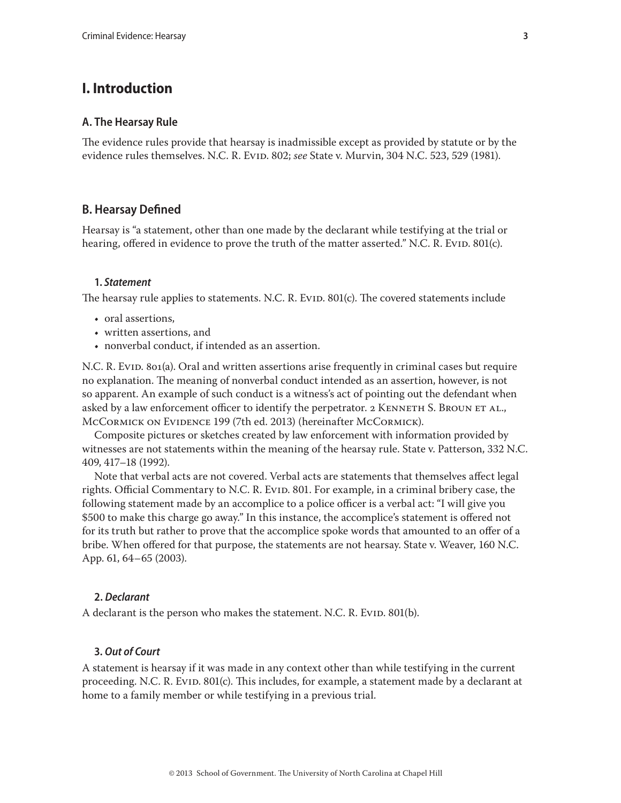# <span id="page-2-0"></span>**I. Introduction**

#### **A. The Hearsay Rule**

The evidence rules provide that hearsay is inadmissible except as provided by statute or by the evidence rules themselves. N.C. R. EviD. 802; *see State v. Murvin*, 304 N.C. 523, 529 (1981).

## **B. Hearsay Defined**

Hearsay is "a statement, other than one made by the declarant while testifying at the trial or hearing, offered in evidence to prove the truth of the matter asserted." N.C. R. Evid. 801(c).

#### **1.** *Statement*

The hearsay rule applies to statements. N.C. R. Evid. 801(c). The covered statements include

- oral assertions,
- written assertions, and
- nonverbal conduct, if intended as an assertion.

N.C. R. Evid. 801(a). Oral and written assertions arise frequently in criminal cases but require no explanation. The meaning of nonverbal conduct intended as an assertion, however, is not so apparent. An example of such conduct is a witness's act of pointing out the defendant when asked by a law enforcement officer to identify the perpetrator. 2 KENNETH S. BROUN ET AL., McCormick on Evidence 199 (7th ed. 2013) (hereinafter McCormick).

Composite pictures or sketches created by law enforcement with information provided by witnesses are not statements within the meaning of the hearsay rule. State v. Patterson, 332 N.C. 409, 417–18 (1992).

Note that verbal acts are not covered. Verbal acts are statements that themselves affect legal rights. Official Commentary to N.C. R. Evid. 801. For example, in a criminal bribery case, the following statement made by an accomplice to a police officer is a verbal act: "I will give you \$500 to make this charge go away." In this instance, the accomplice's statement is offered not for its truth but rather to prove that the accomplice spoke words that amounted to an offer of a bribe. When offered for that purpose, the statements are not hearsay. State v. Weaver, 160 N.C. App. 61, 64–65 (2003).

#### **2.** *Declarant*

A declarant is the person who makes the statement. N.C. R. Evid. 801(b).

## **3.** *Out of Court*

A statement is hearsay if it was made in any context other than while testifying in the current proceeding. N.C. R. Evid. 801 $(c)$ . This includes, for example, a statement made by a declarant at home to a family member or while testifying in a previous trial.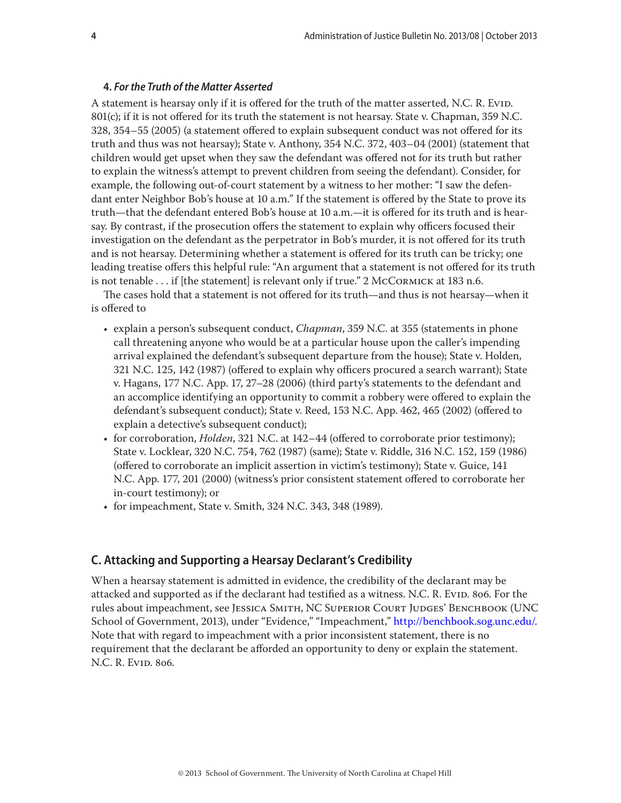#### <span id="page-3-0"></span>**4.** *For the Truth of the Matter Asserted*

A statement is hearsay only if it is offered for the truth of the matter asserted, N.C. R. Evid. 801(c); if it is not offered for its truth the statement is not hearsay. State v. Chapman, 359 N.C. 328, 354–55 (2005) (a statement offered to explain subsequent conduct was not offered for its truth and thus was not hearsay); State v. Anthony, 354 N.C. 372, 403–04 (2001) (statement that children would get upset when they saw the defendant was offered not for its truth but rather to explain the witness's attempt to prevent children from seeing the defendant). Consider, for example, the following out-of-court statement by a witness to her mother: "I saw the defendant enter Neighbor Bob's house at 10 a.m." If the statement is offered by the State to prove its truth—that the defendant entered Bob's house at 10 a.m.—it is offered for its truth and is hearsay. By contrast, if the prosecution offers the statement to explain why officers focused their investigation on the defendant as the perpetrator in Bob's murder, it is not offered for its truth and is not hearsay. Determining whether a statement is offered for its truth can be tricky; one leading treatise offers this helpful rule: "An argument that a statement is not offered for its truth is not tenable  $\ldots$  if [the statement] is relevant only if true." 2 McCormick at 183 n.6.

The cases hold that a statement is not offered for its truth—and thus is not hearsay—when it is offered to

- explain a person's subsequent conduct, *Chapman*, 359 N.C. at 355 (statements in phone call threatening anyone who would be at a particular house upon the caller's impending arrival explained the defendant's subsequent departure from the house); State v. Holden, 321 N.C. 125, 142 (1987) (offered to explain why officers procured a search warrant); State v. Hagans, 177 N.C. App. 17, 27–28 (2006) (third party's statements to the defendant and an accomplice identifying an opportunity to commit a robbery were offered to explain the defendant's subsequent conduct); State v. Reed, 153 N.C. App. 462, 465 (2002) (offered to explain a detective's subsequent conduct);
- for corroboration, *Holden*, 321 N.C. at 142–44 (offered to corroborate prior testimony); State v. Locklear, 320 N.C. 754, 762 (1987) (same); State v. Riddle, 316 N.C. 152, 159 (1986) (offered to corroborate an implicit assertion in victim's testimony); State v. Guice, 141 N.C. App. 177, 201 (2000) (witness's prior consistent statement offered to corroborate her in-court testimony); or
- for impeachment, State v. Smith, 324 N.C. 343, 348 (1989).

## **C. Attacking and Supporting a Hearsay Declarant's Credibility**

When a hearsay statement is admitted in evidence, the credibility of the declarant may be attacked and supported as if the declarant had testified as a witness. N.C. R. EviD. 806. For the rules about impeachment, see Jessica Smith, NC Superior Court Judges' Benchbook (UNC School of Government, 2013), under "Evidence," "Impeachment,"<http://benchbook.sog.unc.edu/>. Note that with regard to impeachment with a prior inconsistent statement, there is no requirement that the declarant be afforded an opportunity to deny or explain the statement. N.C. R. Evid. 806.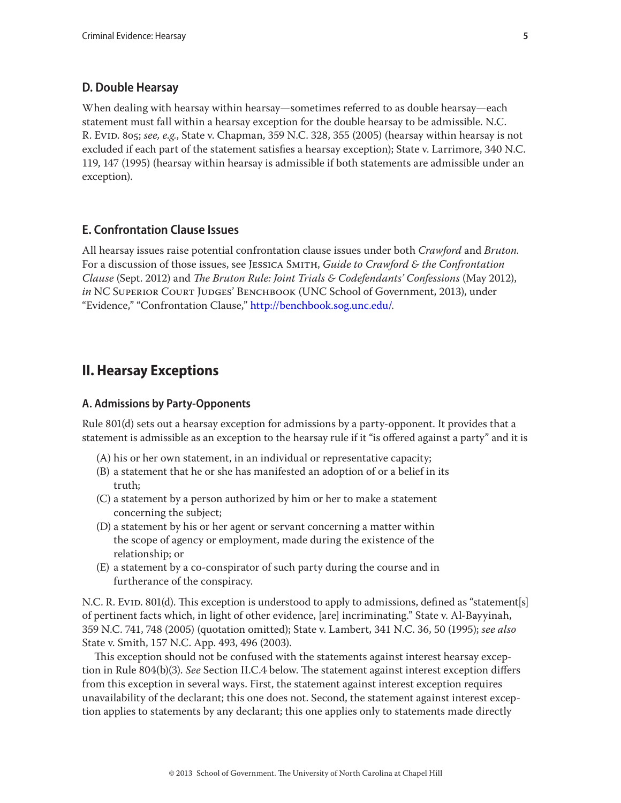## <span id="page-4-0"></span>**D. Double Hearsay**

When dealing with hearsay within hearsay—sometimes referred to as double hearsay—each statement must fall within a hearsay exception for the double hearsay to be admissible. N.C. R. Evid. 805; *see, e.g.*, State v. Chapman, 359 N.C. 328, 355 (2005) (hearsay within hearsay is not excluded if each part of the statement satisfies a hearsay exception); State v. Larrimore, 340 N.C. 119, 147 (1995) (hearsay within hearsay is admissible if both statements are admissible under an exception).

## **E. Confrontation Clause Issues**

All hearsay issues raise potential confrontation clause issues under both *Crawford* and *Bruton.*  For a discussion of those issues, see Jessica Smith, *Guide to Crawford & the Confrontation Clause* (Sept. 2012) and *The Bruton Rule: Joint Trials & Codefendants' Confessions* (May 2012), *in* NC Superior Court Judges' Benchbook (UNC School of Government, 2013), under "Evidence," "Confrontation Clause," <http://benchbook.sog.unc.edu/>.

## **II. Hearsay Exceptions**

## **A. Admissions by Party-Opponents**

Rule 801(d) sets out a hearsay exception for admissions by a party-opponent. It provides that a statement is admissible as an exception to the hearsay rule if it "is offered against a party" and it is

- (A) his or her own statement, in an individual or representative capacity;
- (B) a statement that he or she has manifested an adoption of or a belief in its truth;
- (C) a statement by a person authorized by him or her to make a statement concerning the subject;
- (D) a statement by his or her agent or servant concerning a matter within the scope of agency or employment, made during the existence of the relationship; or
- (E) a statement by a co-conspirator of such party during the course and in furtherance of the conspiracy.

N.C. R. Evid. 801(d). This exception is understood to apply to admissions, defined as "statement[s] of pertinent facts which, in light of other evidence, [are] incriminating." State v. Al-Bayyinah, 359 N.C. 741, 748 (2005) (quotation omitted); State v. Lambert, 341 N.C. 36, 50 (1995); *see also* State v. Smith, 157 N.C. App. 493, 496 (2003).

This exception should not be confused with the statements against interest hearsay exception in Rule 804(b)(3). *See* Section II.C.4 below. The statement against interest exception differs from this exception in several ways. First, the statement against interest exception requires unavailability of the declarant; this one does not. Second, the statement against interest exception applies to statements by any declarant; this one applies only to statements made directly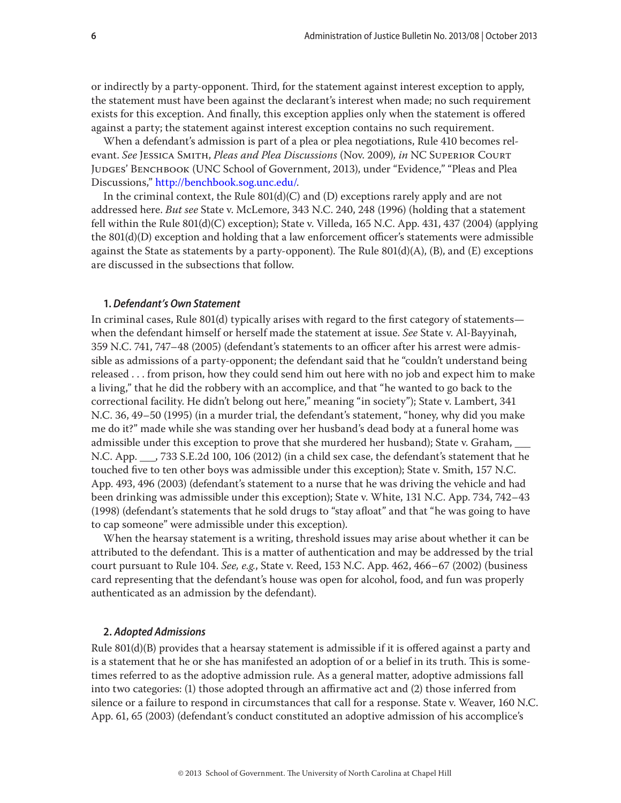<span id="page-5-0"></span>or indirectly by a party-opponent. Third, for the statement against interest exception to apply, the statement must have been against the declarant's interest when made; no such requirement exists for this exception. And finally, this exception applies only when the statement is offered against a party; the statement against interest exception contains no such requirement.

When a defendant's admission is part of a plea or plea negotiations, Rule 410 becomes relevant. *See* Jessica Smith, *Pleas and Plea Discussions* (Nov. 2009)*, in* NC Superior Court Judges' Benchbook (UNC School of Government, 2013), under "Evidence," "Pleas and Plea Discussions,"<http://benchbook.sog.unc.edu/>.

In the criminal context, the Rule  $801(d)(C)$  and  $(D)$  exceptions rarely apply and are not addressed here. *But see* State v. McLemore, 343 N.C. 240, 248 (1996) (holding that a statement fell within the Rule 801(d)(C) exception); State v. Villeda, 165 N.C. App. 431, 437 (2004) (applying the 801(d)(D) exception and holding that a law enforcement officer's statements were admissible against the State as statements by a party-opponent). The Rule  $801(d)(A)$ , (B), and (E) exceptions are discussed in the subsections that follow.

## **1.** *Defendant's Own Statement*

In criminal cases, Rule 801(d) typically arises with regard to the first category of statements when the defendant himself or herself made the statement at issue. *See* State v. Al-Bayyinah, 359 N.C. 741, 747–48 (2005) (defendant's statements to an officer after his arrest were admissible as admissions of a party-opponent; the defendant said that he "couldn't understand being released . . . from prison, how they could send him out here with no job and expect him to make a living," that he did the robbery with an accomplice, and that "he wanted to go back to the correctional facility. He didn't belong out here," meaning "in society"); State v. Lambert, 341 N.C. 36, 49–50 (1995) (in a murder trial, the defendant's statement, "honey, why did you make me do it?" made while she was standing over her husband's dead body at a funeral home was admissible under this exception to prove that she murdered her husband); State v. Graham, \_\_\_ N.C. App. \_\_\_, 733 S.E.2d 100, 106 (2012) (in a child sex case, the defendant's statement that he touched five to ten other boys was admissible under this exception); State v. Smith, 157 N.C. App. 493, 496 (2003) (defendant's statement to a nurse that he was driving the vehicle and had been drinking was admissible under this exception); State v. White, 131 N.C. App. 734, 742–43 (1998) (defendant's statements that he sold drugs to "stay afloat" and that "he was going to have to cap someone" were admissible under this exception).

When the hearsay statement is a writing, threshold issues may arise about whether it can be attributed to the defendant. This is a matter of authentication and may be addressed by the trial court pursuant to Rule 104. *See, e.g.*, State v. Reed, 153 N.C. App. 462, 466–67 (2002) (business card representing that the defendant's house was open for alcohol, food, and fun was properly authenticated as an admission by the defendant).

## **2.** *Adopted Admissions*

Rule 801(d)(B) provides that a hearsay statement is admissible if it is offered against a party and is a statement that he or she has manifested an adoption of or a belief in its truth. This is sometimes referred to as the adoptive admission rule. As a general matter, adoptive admissions fall into two categories: (1) those adopted through an affirmative act and (2) those inferred from silence or a failure to respond in circumstances that call for a response. State v. Weaver, 160 N.C. App. 61, 65 (2003) (defendant's conduct constituted an adoptive admission of his accomplice's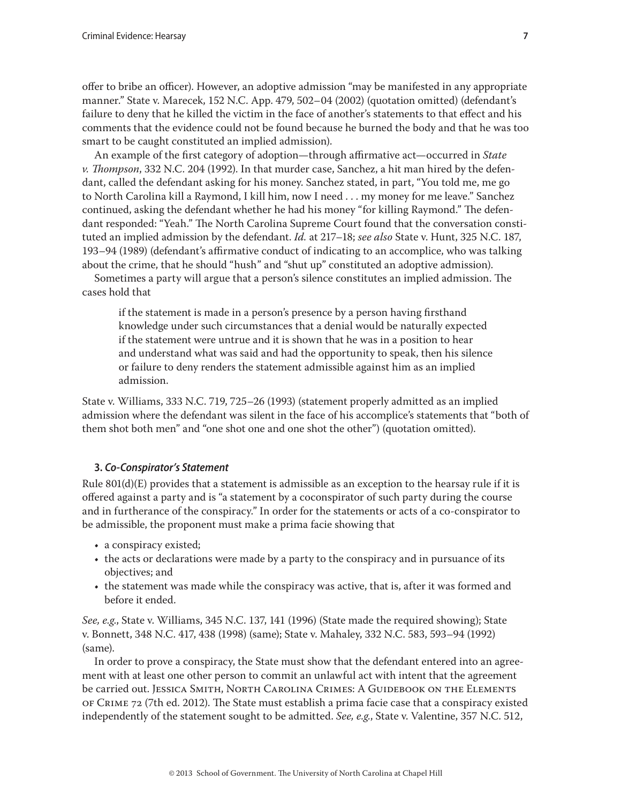<span id="page-6-0"></span>offer to bribe an officer). However, an adoptive admission "may be manifested in any appropriate manner." State v. Marecek, 152 N.C. App. 479, 502–04 (2002) (quotation omitted) (defendant's failure to deny that he killed the victim in the face of another's statements to that effect and his comments that the evidence could not be found because he burned the body and that he was too smart to be caught constituted an implied admission).

An example of the first category of adoption—through affirmative act—occurred in *State v. Thompson*, 332 N.C. 204 (1992). In that murder case, Sanchez, a hit man hired by the defendant, called the defendant asking for his money. Sanchez stated, in part, "You told me, me go to North Carolina kill a Raymond, I kill him, now I need . . . my money for me leave." Sanchez continued, asking the defendant whether he had his money "for killing Raymond." The defendant responded: "Yeah." The North Carolina Supreme Court found that the conversation constituted an implied admission by the defendant. *Id.* at 217–18; *see also* State v. Hunt, 325 N.C. 187, 193–94 (1989) (defendant's affirmative conduct of indicating to an accomplice, who was talking about the crime, that he should "hush" and "shut up" constituted an adoptive admission).

Sometimes a party will argue that a person's silence constitutes an implied admission. The cases hold that

if the statement is made in a person's presence by a person having firsthand knowledge under such circumstances that a denial would be naturally expected if the statement were untrue and it is shown that he was in a position to hear and understand what was said and had the opportunity to speak, then his silence or failure to deny renders the statement admissible against him as an implied admission.

State v. Williams, 333 N.C. 719, 725–26 (1993) (statement properly admitted as an implied admission where the defendant was silent in the face of his accomplice's statements that "both of them shot both men" and "one shot one and one shot the other") (quotation omitted).

## **3.** *Co-Conspirator's Statement*

Rule  $801(d)(E)$  provides that a statement is admissible as an exception to the hearsay rule if it is offered against a party and is "a statement by a coconspirator of such party during the course and in furtherance of the conspiracy." In order for the statements or acts of a co-conspirator to be admissible, the proponent must make a prima facie showing that

- a conspiracy existed;
- the acts or declarations were made by a party to the conspiracy and in pursuance of its objectives; and
- the statement was made while the conspiracy was active, that is, after it was formed and before it ended.

*See, e.g*., State v. Williams, 345 N.C. 137, 141 (1996) (State made the required showing); State v. Bonnett, 348 N.C. 417, 438 (1998) (same); State v. Mahaley, 332 N.C. 583, 593–94 (1992) (same).

In order to prove a conspiracy, the State must show that the defendant entered into an agreement with at least one other person to commit an unlawful act with intent that the agreement be carried out. Jessica Smith, North Carolina Crimes: A Guidebook on the Elements of Crime 72 (7th ed. 2012). The State must establish a prima facie case that a conspiracy existed independently of the statement sought to be admitted. *See, e.g.*, State v. Valentine, 357 N.C. 512,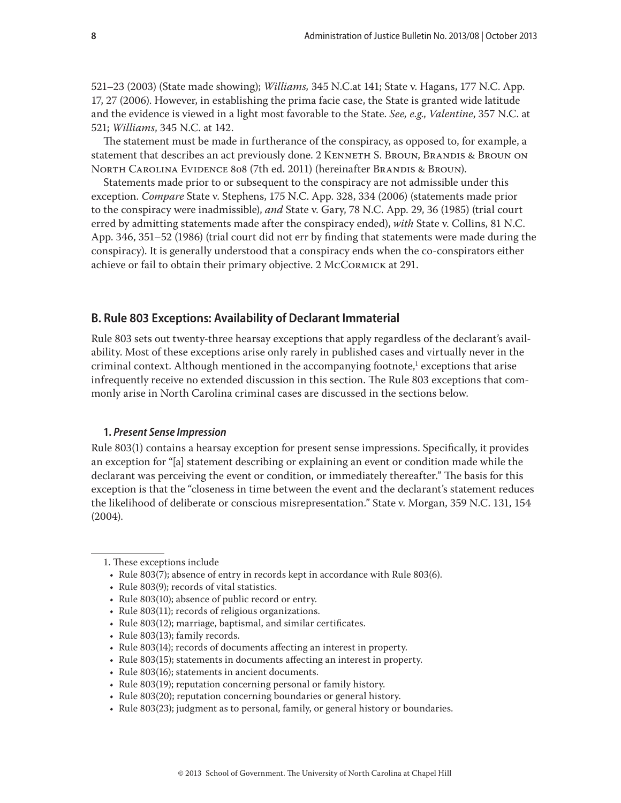<span id="page-7-0"></span>521–23 (2003) (State made showing); *Williams,* 345 N.C.at 141; State v. Hagans, 177 N.C. App. 17, 27 (2006). However, in establishing the prima facie case, the State is granted wide latitude and the evidence is viewed in a light most favorable to the State. *See, e.g*., *Valentine*, 357 N.C. at 521; *Williams*, 345 N.C. at 142.

The statement must be made in furtherance of the conspiracy, as opposed to, for example, a statement that describes an act previously done. 2 KENNETH S. BROUN, BRANDIS & BROUN ON North Carolina Evidence 808 (7th ed. 2011) (hereinafter Brandis & Broun).

Statements made prior to or subsequent to the conspiracy are not admissible under this exception. *Compare* State v. Stephens, 175 N.C. App. 328, 334 (2006) (statements made prior to the conspiracy were inadmissible), *and* State v. Gary, 78 N.C. App. 29, 36 (1985) (trial court erred by admitting statements made after the conspiracy ended), *with* State v. Collins, 81 N.C. App. 346, 351–52 (1986) (trial court did not err by finding that statements were made during the conspiracy). It is generally understood that a conspiracy ends when the co-conspirators either achieve or fail to obtain their primary objective. 2 McCormick at 291.

## **B. Rule 803 Exceptions: Availability of Declarant Immaterial**

Rule 803 sets out twenty-three hearsay exceptions that apply regardless of the declarant's availability. Most of these exceptions arise only rarely in published cases and virtually never in the criminal context. Although mentioned in the accompanying footnote, $^1$  exceptions that arise infrequently receive no extended discussion in this section. The Rule 803 exceptions that commonly arise in North Carolina criminal cases are discussed in the sections below.

## **1.** *Present Sense Impression*

Rule 803(1) contains a hearsay exception for present sense impressions. Specifically, it provides an exception for "[a] statement describing or explaining an event or condition made while the declarant was perceiving the event or condition, or immediately thereafter." The basis for this exception is that the "closeness in time between the event and the declarant's statement reduces the likelihood of deliberate or conscious misrepresentation." State v. Morgan, 359 N.C. 131, 154 (2004).

- Rule 803(15); statements in documents affecting an interest in property.
- Rule 803(16); statements in ancient documents.
- Rule 803(19); reputation concerning personal or family history.
- Rule 803(20); reputation concerning boundaries or general history.
- • Rule 803(23); judgment as to personal, family, or general history or boundaries.

<sup>1.</sup> These exceptions include

<sup>•</sup> Rule 803(7); absence of entry in records kept in accordance with Rule 803(6).

<sup>•</sup> Rule 803(9); records of vital statistics.

<sup>•</sup> Rule 803(10); absence of public record or entry.

<sup>•</sup>  Rule 803(11); records of religious organizations.

<sup>•</sup> Rule 803(12); marriage, baptismal, and similar certificates.

<sup>•</sup> Rule 803(13); family records.

<sup>•</sup>  Rule 803(14); records of documents affecting an interest in property.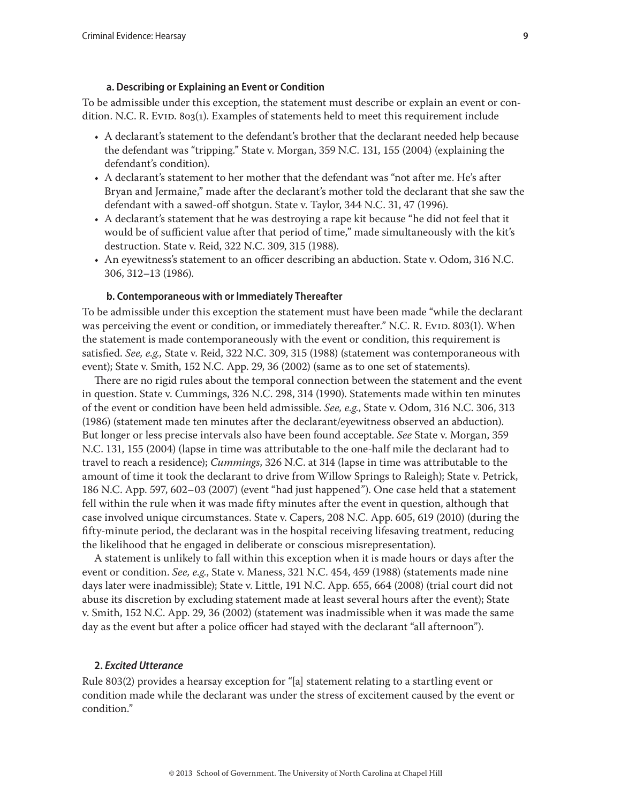#### **a. Describing or Explaining an Event or Condition**

<span id="page-8-0"></span>To be admissible under this exception, the statement must describe or explain an event or condition. N.C. R. Evid. 803(1). Examples of statements held to meet this requirement include

- A declarant's statement to the defendant's brother that the declarant needed help because the defendant was "tripping." State v. Morgan, 359 N.C. 131, 155 (2004) (explaining the defendant's condition).
- A declarant's statement to her mother that the defendant was "not after me. He's after Bryan and Jermaine," made after the declarant's mother told the declarant that she saw the defendant with a sawed-off shotgun. State v. Taylor, 344 N.C. 31, 47 (1996).
- A declarant's statement that he was destroying a rape kit because "he did not feel that it would be of sufficient value after that period of time," made simultaneously with the kit's destruction. State v. Reid, 322 N.C. 309, 315 (1988).
- An eyewitness's statement to an officer describing an abduction. State v. Odom, 316 N.C. 306, 312–13 (1986).

#### **b. Contemporaneous with or Immediately Thereafter**

To be admissible under this exception the statement must have been made "while the declarant was perceiving the event or condition, or immediately thereafter." N.C. R. Evid. 803(1). When the statement is made contemporaneously with the event or condition, this requirement is satisfied. *See, e.g.,* State v. Reid, 322 N.C. 309, 315 (1988) (statement was contemporaneous with event); State v. Smith, 152 N.C. App. 29, 36 (2002) (same as to one set of statements).

There are no rigid rules about the temporal connection between the statement and the event in question. State v. Cummings, 326 N.C. 298, 314 (1990). Statements made within ten minutes of the event or condition have been held admissible. *See, e.g.*, State v. Odom, 316 N.C. 306, 313 (1986) (statement made ten minutes after the declarant/eyewitness observed an abduction). But longer or less precise intervals also have been found acceptable. *See* State v. Morgan, 359 N.C. 131, 155 (2004) (lapse in time was attributable to the one-half mile the declarant had to travel to reach a residence); *Cummings*, 326 N.C. at 314 (lapse in time was attributable to the amount of time it took the declarant to drive from Willow Springs to Raleigh); State v. Petrick, 186 N.C. App. 597, 602–03 (2007) (event "had just happened"). One case held that a statement fell within the rule when it was made fifty minutes after the event in question, although that case involved unique circumstances. State v. Capers, 208 N.C. App. 605, 619 (2010) (during the fifty-minute period, the declarant was in the hospital receiving lifesaving treatment, reducing the likelihood that he engaged in deliberate or conscious misrepresentation).

A statement is unlikely to fall within this exception when it is made hours or days after the event or condition. *See, e.g.*, State v. Maness, 321 N.C. 454, 459 (1988) (statements made nine days later were inadmissible); State v. Little, 191 N.C. App. 655, 664 (2008) (trial court did not abuse its discretion by excluding statement made at least several hours after the event); State v. Smith, 152 N.C. App. 29, 36 (2002) (statement was inadmissible when it was made the same day as the event but after a police officer had stayed with the declarant "all afternoon").

#### **2.** *Excited Utterance*

Rule 803(2) provides a hearsay exception for "[a] statement relating to a startling event or condition made while the declarant was under the stress of excitement caused by the event or condition."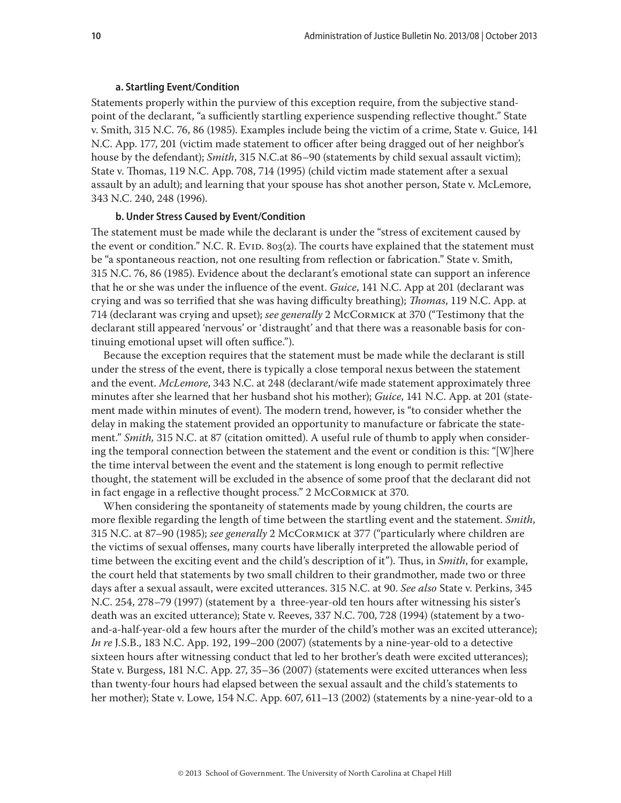#### **a. Startling Event/Condition**

<span id="page-9-0"></span>Statements properly within the purview of this exception require, from the subjective standpoint of the declarant, "a sufficiently startling experience suspending reflective thought." State v. Smith, 315 N.C. 76, 86 (1985). Examples include being the victim of a crime, State v. Guice, 141 N.C. App. 177, 201 (victim made statement to officer after being dragged out of her neighbor's house by the defendant); *Smith*, 315 N.C.at 86–90 (statements by child sexual assault victim); State v. Thomas, 119 N.C. App. 708, 714 (1995) (child victim made statement after a sexual assault by an adult); and learning that your spouse has shot another person, State v. McLemore, 343 N.C. 240, 248 (1996).

#### **b. Under Stress Caused by Event/Condition**

The statement must be made while the declarant is under the "stress of excitement caused by the event or condition." N.C. R. Evid. 803(2). The courts have explained that the statement must be "a spontaneous reaction, not one resulting from reflection or fabrication." State v. Smith, 315 N.C. 76, 86 (1985). Evidence about the declarant's emotional state can support an inference that he or she was under the influence of the event. *Guice*, 141 N.C. App at 201 (declarant was crying and was so terrified that she was having difficulty breathing); *Thomas*, 119 N.C. App. at 714 (declarant was crying and upset); *see generally* 2 McCormick at 370 ("Testimony that the declarant still appeared 'nervous' or 'distraught' and that there was a reasonable basis for continuing emotional upset will often suffice.").

Because the exception requires that the statement must be made while the declarant is still under the stress of the event, there is typically a close temporal nexus between the statement and the event. *McLemore*, 343 N.C. at 248 (declarant/wife made statement approximately three minutes after she learned that her husband shot his mother); *Guice*, 141 N.C. App. at 201 (statement made within minutes of event). The modern trend, however, is "to consider whether the delay in making the statement provided an opportunity to manufacture or fabricate the statement." *Smith,* 315 N.C. at 87 (citation omitted). A useful rule of thumb to apply when considering the temporal connection between the statement and the event or condition is this: "[W]here the time interval between the event and the statement is long enough to permit reflective thought, the statement will be excluded in the absence of some proof that the declarant did not in fact engage in a reflective thought process." 2 McCormick at 370.

When considering the spontaneity of statements made by young children, the courts are more flexible regarding the length of time between the startling event and the statement. *Smith*, 315 N.C. at 87–90 (1985); *see generally* 2 McCormick at 377 ("particularly where children are the victims of sexual offenses, many courts have liberally interpreted the allowable period of time between the exciting event and the child's description of it"). Thus, in *Smith*, for example, the court held that statements by two small children to their grandmother, made two or three days after a sexual assault, were excited utterances. 315 N.C. at 90. *See also* State v. Perkins, 345 N.C. 254, 278–79 (1997) (statement by a three-year-old ten hours after witnessing his sister's death was an excited utterance); State v. Reeves, 337 N.C. 700, 728 (1994) (statement by a twoand-a-half-year-old a few hours after the murder of the child's mother was an excited utterance); *In re* J.S.B., 183 N.C. App. 192, 199–200 (2007) (statements by a nine-year-old to a detective sixteen hours after witnessing conduct that led to her brother's death were excited utterances); State v. Burgess, 181 N.C. App. 27, 35–36 (2007) (statements were excited utterances when less than twenty-four hours had elapsed between the sexual assault and the child's statements to her mother); State v. Lowe, 154 N.C. App. 607, 611–13 (2002) (statements by a nine-year-old to a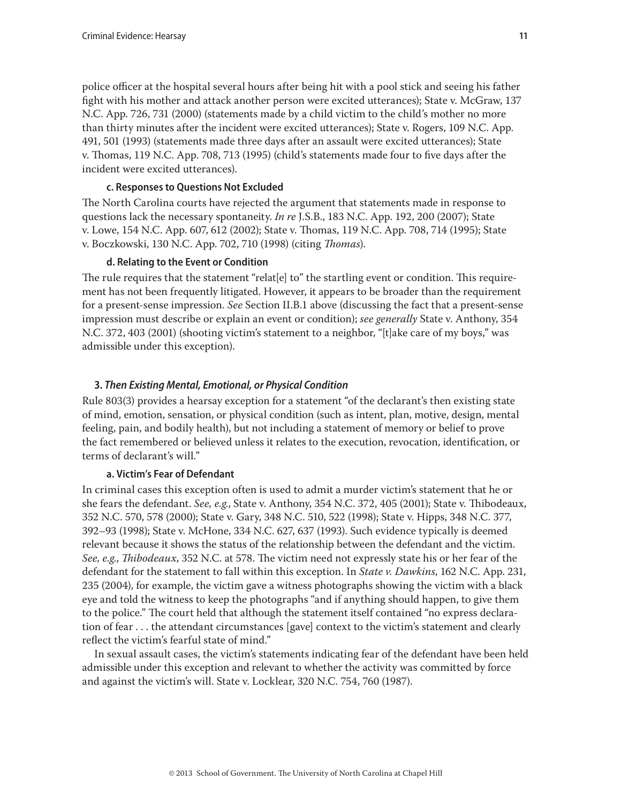<span id="page-10-0"></span>police officer at the hospital several hours after being hit with a pool stick and seeing his father fight with his mother and attack another person were excited utterances); State v. McGraw, 137 N.C. App. 726, 731 (2000) (statements made by a child victim to the child's mother no more than thirty minutes after the incident were excited utterances); State v. Rogers, 109 N.C. App. 491, 501 (1993) (statements made three days after an assault were excited utterances); State v. Thomas, 119 N.C. App. 708, 713 (1995) (child's statements made four to five days after the incident were excited utterances).

## **c. Responses to Questions Not Excluded**

The North Carolina courts have rejected the argument that statements made in response to questions lack the necessary spontaneity. *In re* J.S.B., 183 N.C. App. 192, 200 (2007); State v. Lowe, 154 N.C. App. 607, 612 (2002); State v. Thomas, 119 N.C. App. 708, 714 (1995); State v. Boczkowski, 130 N.C. App. 702, 710 (1998) (citing *Thomas*).

## **d. Relating to the Event or Condition**

The rule requires that the statement "relat[e] to" the startling event or condition. This requirement has not been frequently litigated. However, it appears to be broader than the requirement for a present-sense impression. *See* Section II.B.1 above (discussing the fact that a present-sense impression must describe or explain an event or condition); *see generally* State v. Anthony, 354 N.C. 372, 403 (2001) (shooting victim's statement to a neighbor, "[t]ake care of my boys," was admissible under this exception).

## **3.** *Then Existing Mental, Emotional, or Physical Condition*

Rule 803(3) provides a hearsay exception for a statement "of the declarant's then existing state of mind, emotion, sensation, or physical condition (such as intent, plan, motive, design, mental feeling, pain, and bodily health), but not including a statement of memory or belief to prove the fact remembered or believed unless it relates to the execution, revocation, identification, or terms of declarant's will."

## **a. Victim's Fear of Defendant**

In criminal cases this exception often is used to admit a murder victim's statement that he or she fears the defendant. *See, e.g.*, State v. Anthony, 354 N.C. 372, 405 (2001); State v. Thibodeaux, 352 N.C. 570, 578 (2000); State v. Gary, 348 N.C. 510, 522 (1998); State v. Hipps, 348 N.C. 377, 392–93 (1998); State v. McHone, 334 N.C. 627, 637 (1993). Such evidence typically is deemed relevant because it shows the status of the relationship between the defendant and the victim. *See, e.g*., *Thibodeaux*, 352 N.C. at 578. The victim need not expressly state his or her fear of the defendant for the statement to fall within this exception. In *State v. Dawkins*, 162 N.C. App. 231, 235 (2004), for example, the victim gave a witness photographs showing the victim with a black eye and told the witness to keep the photographs "and if anything should happen, to give them to the police." The court held that although the statement itself contained "no express declaration of fear . . . the attendant circumstances [gave] context to the victim's statement and clearly reflect the victim's fearful state of mind."

In sexual assault cases, the victim's statements indicating fear of the defendant have been held admissible under this exception and relevant to whether the activity was committed by force and against the victim's will. State v. Locklear, 320 N.C. 754, 760 (1987).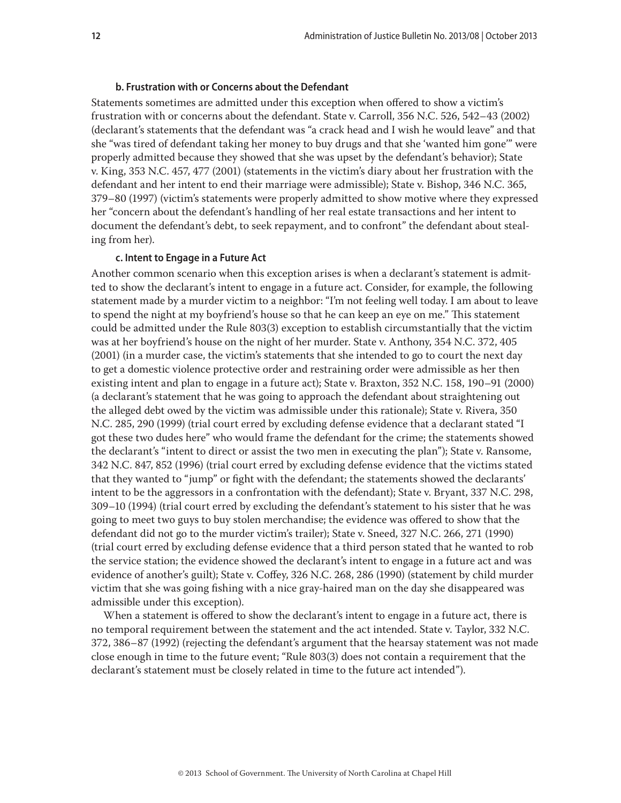## **b. Frustration with or Concerns about the Defendant**

<span id="page-11-0"></span>Statements sometimes are admitted under this exception when offered to show a victim's frustration with or concerns about the defendant. State v. Carroll, 356 N.C. 526, 542–43 (2002) (declarant's statements that the defendant was "a crack head and I wish he would leave" and that she "was tired of defendant taking her money to buy drugs and that she 'wanted him gone'" were properly admitted because they showed that she was upset by the defendant's behavior); State v. King, 353 N.C. 457, 477 (2001) (statements in the victim's diary about her frustration with the defendant and her intent to end their marriage were admissible); State v. Bishop, 346 N.C. 365, 379–80 (1997) (victim's statements were properly admitted to show motive where they expressed her "concern about the defendant's handling of her real estate transactions and her intent to document the defendant's debt, to seek repayment, and to confront" the defendant about stealing from her).

#### **c. Intent to Engage in a Future Act**

Another common scenario when this exception arises is when a declarant's statement is admitted to show the declarant's intent to engage in a future act. Consider, for example, the following statement made by a murder victim to a neighbor: "I'm not feeling well today. I am about to leave to spend the night at my boyfriend's house so that he can keep an eye on me." This statement could be admitted under the Rule 803(3) exception to establish circumstantially that the victim was at her boyfriend's house on the night of her murder. State v. Anthony, 354 N.C. 372, 405 (2001) (in a murder case, the victim's statements that she intended to go to court the next day to get a domestic violence protective order and restraining order were admissible as her then existing intent and plan to engage in a future act); State v. Braxton, 352 N.C. 158, 190–91 (2000) (a declarant's statement that he was going to approach the defendant about straightening out the alleged debt owed by the victim was admissible under this rationale); State v. Rivera, 350 N.C. 285, 290 (1999) (trial court erred by excluding defense evidence that a declarant stated "I got these two dudes here" who would frame the defendant for the crime; the statements showed the declarant's "intent to direct or assist the two men in executing the plan"); State v. Ransome, 342 N.C. 847, 852 (1996) (trial court erred by excluding defense evidence that the victims stated that they wanted to "jump" or fight with the defendant; the statements showed the declarants' intent to be the aggressors in a confrontation with the defendant); State v. Bryant, 337 N.C. 298, 309–10 (1994) (trial court erred by excluding the defendant's statement to his sister that he was going to meet two guys to buy stolen merchandise; the evidence was offered to show that the defendant did not go to the murder victim's trailer); State v. Sneed, 327 N.C. 266, 271 (1990) (trial court erred by excluding defense evidence that a third person stated that he wanted to rob the service station; the evidence showed the declarant's intent to engage in a future act and was evidence of another's guilt); State v. Coffey, 326 N.C. 268, 286 (1990) (statement by child murder victim that she was going fishing with a nice gray-haired man on the day she disappeared was admissible under this exception).

When a statement is offered to show the declarant's intent to engage in a future act, there is no temporal requirement between the statement and the act intended. State v. Taylor, 332 N.C. 372, 386–87 (1992) (rejecting the defendant's argument that the hearsay statement was not made close enough in time to the future event; "Rule 803(3) does not contain a requirement that the declarant's statement must be closely related in time to the future act intended").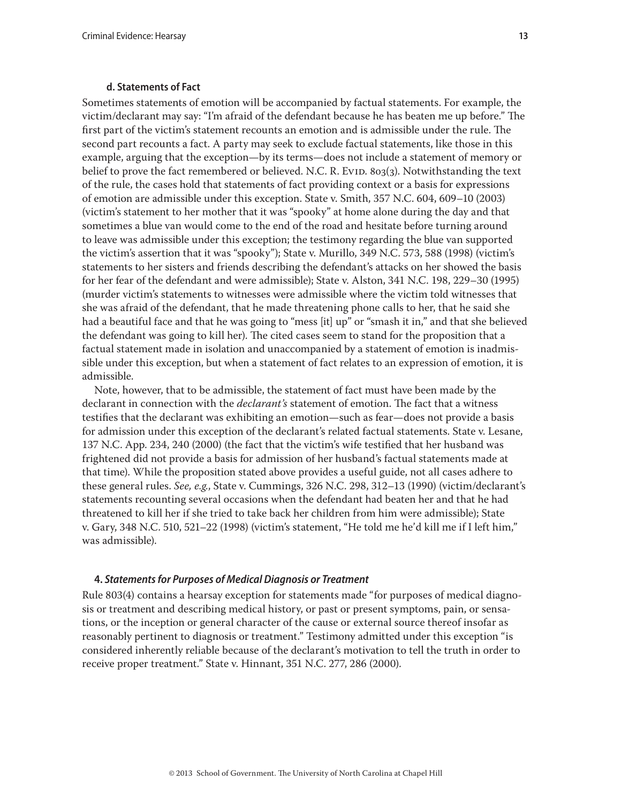#### **d. Statements of Fact**

<span id="page-12-0"></span>Sometimes statements of emotion will be accompanied by factual statements. For example, the victim/declarant may say: "I'm afraid of the defendant because he has beaten me up before." The first part of the victim's statement recounts an emotion and is admissible under the rule. The second part recounts a fact. A party may seek to exclude factual statements, like those in this example, arguing that the exception—by its terms—does not include a statement of memory or belief to prove the fact remembered or believed. N.C. R. Evid. 803(3). Notwithstanding the text of the rule, the cases hold that statements of fact providing context or a basis for expressions of emotion are admissible under this exception. State v. Smith, 357 N.C. 604, 609–10 (2003) (victim's statement to her mother that it was "spooky" at home alone during the day and that sometimes a blue van would come to the end of the road and hesitate before turning around to leave was admissible under this exception; the testimony regarding the blue van supported the victim's assertion that it was "spooky"); State v. Murillo, 349 N.C. 573, 588 (1998) (victim's statements to her sisters and friends describing the defendant's attacks on her showed the basis for her fear of the defendant and were admissible); State v. Alston, 341 N.C. 198, 229–30 (1995) (murder victim's statements to witnesses were admissible where the victim told witnesses that she was afraid of the defendant, that he made threatening phone calls to her, that he said she had a beautiful face and that he was going to "mess [it] up" or "smash it in," and that she believed the defendant was going to kill her). The cited cases seem to stand for the proposition that a factual statement made in isolation and unaccompanied by a statement of emotion is inadmissible under this exception, but when a statement of fact relates to an expression of emotion, it is admissible.

Note, however, that to be admissible, the statement of fact must have been made by the declarant in connection with the *declarant's* statement of emotion. The fact that a witness testifies that the declarant was exhibiting an emotion—such as fear—does not provide a basis for admission under this exception of the declarant's related factual statements. State v. Lesane, 137 N.C. App. 234, 240 (2000) (the fact that the victim's wife testified that her husband was frightened did not provide a basis for admission of her husband's factual statements made at that time). While the proposition stated above provides a useful guide, not all cases adhere to these general rules. *See, e.g.*, State v. Cummings, 326 N.C. 298, 312–13 (1990) (victim/declarant's statements recounting several occasions when the defendant had beaten her and that he had threatened to kill her if she tried to take back her children from him were admissible); State v. Gary, 348 N.C. 510, 521–22 (1998) (victim's statement, "He told me he'd kill me if I left him," was admissible).

#### **4.** *Statements for Purposes of Medical Diagnosis or Treatment*

Rule 803(4) contains a hearsay exception for statements made "for purposes of medical diagnosis or treatment and describing medical history, or past or present symptoms, pain, or sensations, or the inception or general character of the cause or external source thereof insofar as reasonably pertinent to diagnosis or treatment." Testimony admitted under this exception "is considered inherently reliable because of the declarant's motivation to tell the truth in order to receive proper treatment." State v. Hinnant, 351 N.C. 277, 286 (2000).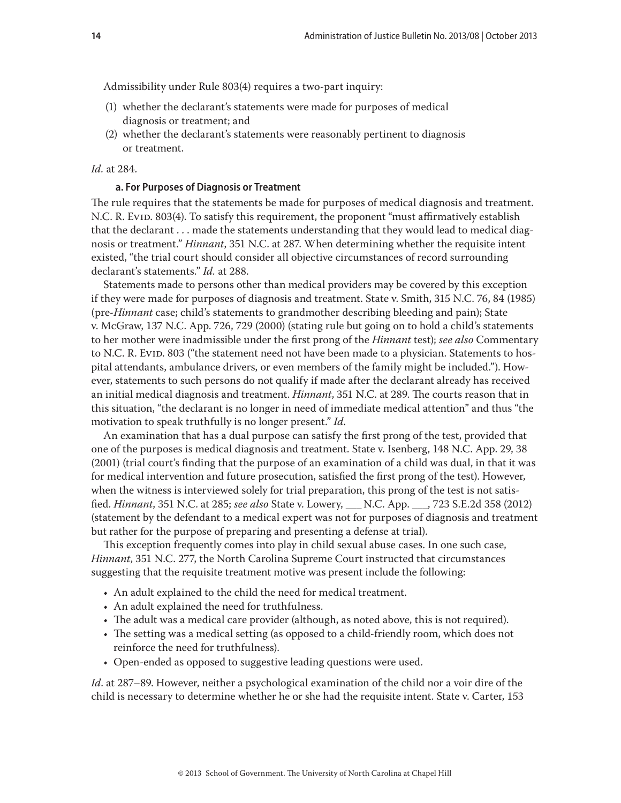<span id="page-13-0"></span>Admissibility under Rule 803(4) requires a two-part inquiry:

- (1) whether the declarant's statements were made for purposes of medical diagnosis or treatment; and
- (2) whether the declarant's statements were reasonably pertinent to diagnosis or treatment.

#### *Id.* at 284.

#### **a. For Purposes of Diagnosis or Treatment**

The rule requires that the statements be made for purposes of medical diagnosis and treatment. N.C. R. Evid. 803(4). To satisfy this requirement, the proponent "must affirmatively establish that the declarant . . . made the statements understanding that they would lead to medical diagnosis or treatment." *Hinnant*, 351 N.C. at 287. When determining whether the requisite intent existed, "the trial court should consider all objective circumstances of record surrounding declarant's statements." *Id.* at 288.

Statements made to persons other than medical providers may be covered by this exception if they were made for purposes of diagnosis and treatment. State v. Smith, 315 N.C. 76, 84 (1985) (pre-*Hinnant* case; child's statements to grandmother describing bleeding and pain); State v. McGraw, 137 N.C. App. 726, 729 (2000) (stating rule but going on to hold a child's statements to her mother were inadmissible under the first prong of the *Hinnant* test); *see also* Commentary to N.C. R. Evid. 803 ("the statement need not have been made to a physician. Statements to hospital attendants, ambulance drivers, or even members of the family might be included."). However, statements to such persons do not qualify if made after the declarant already has received an initial medical diagnosis and treatment. *Hinnant*, 351 N.C. at 289. The courts reason that in this situation, "the declarant is no longer in need of immediate medical attention" and thus "the motivation to speak truthfully is no longer present." *Id*.

An examination that has a dual purpose can satisfy the first prong of the test, provided that one of the purposes is medical diagnosis and treatment. State v. Isenberg, 148 N.C. App. 29, 38 (2001) (trial court's finding that the purpose of an examination of a child was dual, in that it was for medical intervention and future prosecution, satisfied the first prong of the test). However, when the witness is interviewed solely for trial preparation, this prong of the test is not satisfied. *Hinnant*, 351 N.C. at 285; *see also* State v. Lowery, \_\_\_ N.C. App. \_\_\_, 723 S.E.2d 358 (2012) (statement by the defendant to a medical expert was not for purposes of diagnosis and treatment but rather for the purpose of preparing and presenting a defense at trial).

This exception frequently comes into play in child sexual abuse cases. In one such case, *Hinnant*, 351 N.C. 277, the North Carolina Supreme Court instructed that circumstances suggesting that the requisite treatment motive was present include the following:

- An adult explained to the child the need for medical treatment.
- An adult explained the need for truthfulness.
- The adult was a medical care provider (although, as noted above, this is not required).
- The setting was a medical setting (as opposed to a child-friendly room, which does not reinforce the need for truthfulness).
- Open-ended as opposed to suggestive leading questions were used.

*Id*. at 287–89. However, neither a psychological examination of the child nor a voir dire of the child is necessary to determine whether he or she had the requisite intent. State v. Carter, 153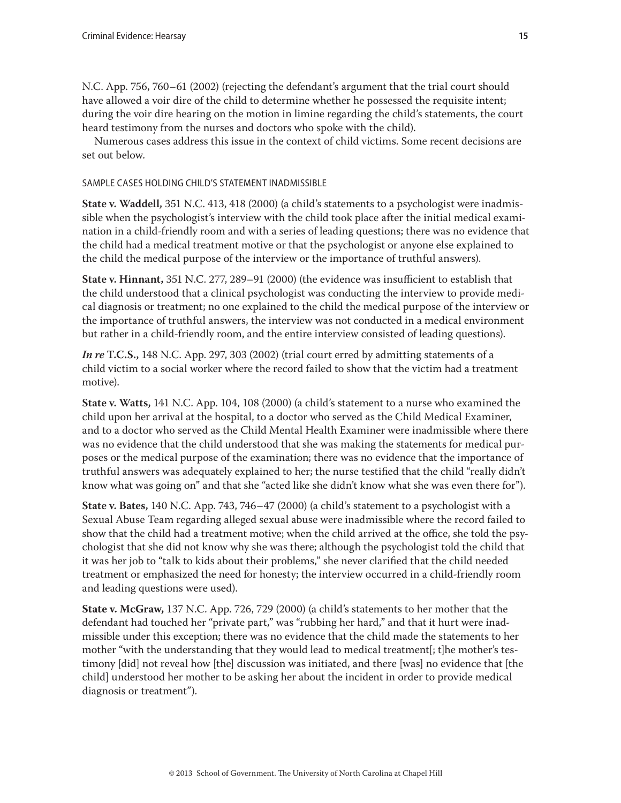N.C. App. 756, 760–61 (2002) (rejecting the defendant's argument that the trial court should have allowed a voir dire of the child to determine whether he possessed the requisite intent; during the voir dire hearing on the motion in limine regarding the child's statements, the court heard testimony from the nurses and doctors who spoke with the child).

Numerous cases address this issue in the context of child victims. Some recent decisions are set out below.

## SAMPLE CASES HOLDING CHILD'S STATEMENT INADMISSIBLE

**State v. Waddell,** 351 N.C. 413, 418 (2000) (a child's statements to a psychologist were inadmissible when the psychologist's interview with the child took place after the initial medical examination in a child-friendly room and with a series of leading questions; there was no evidence that the child had a medical treatment motive or that the psychologist or anyone else explained to the child the medical purpose of the interview or the importance of truthful answers).

**State v. Hinnant,** 351 N.C. 277, 289–91 (2000) (the evidence was insufficient to establish that the child understood that a clinical psychologist was conducting the interview to provide medical diagnosis or treatment; no one explained to the child the medical purpose of the interview or the importance of truthful answers, the interview was not conducted in a medical environment but rather in a child-friendly room, and the entire interview consisted of leading questions).

*In re* **T.C.S.,** 148 N.C. App. 297, 303 (2002) (trial court erred by admitting statements of a child victim to a social worker where the record failed to show that the victim had a treatment motive).

**State v. Watts,** 141 N.C. App. 104, 108 (2000) (a child's statement to a nurse who examined the child upon her arrival at the hospital, to a doctor who served as the Child Medical Examiner, and to a doctor who served as the Child Mental Health Examiner were inadmissible where there was no evidence that the child understood that she was making the statements for medical purposes or the medical purpose of the examination; there was no evidence that the importance of truthful answers was adequately explained to her; the nurse testified that the child "really didn't know what was going on" and that she "acted like she didn't know what she was even there for").

**State v. Bates,** 140 N.C. App. 743, 746–47 (2000) (a child's statement to a psychologist with a Sexual Abuse Team regarding alleged sexual abuse were inadmissible where the record failed to show that the child had a treatment motive; when the child arrived at the office, she told the psychologist that she did not know why she was there; although the psychologist told the child that it was her job to "talk to kids about their problems," she never clarified that the child needed treatment or emphasized the need for honesty; the interview occurred in a child-friendly room and leading questions were used).

**State v. McGraw,** 137 N.C. App. 726, 729 (2000) (a child's statements to her mother that the defendant had touched her "private part," was "rubbing her hard," and that it hurt were inadmissible under this exception; there was no evidence that the child made the statements to her mother "with the understanding that they would lead to medical treatment[; t]he mother's testimony [did] not reveal how [the] discussion was initiated, and there [was] no evidence that [the child] understood her mother to be asking her about the incident in order to provide medical diagnosis or treatment").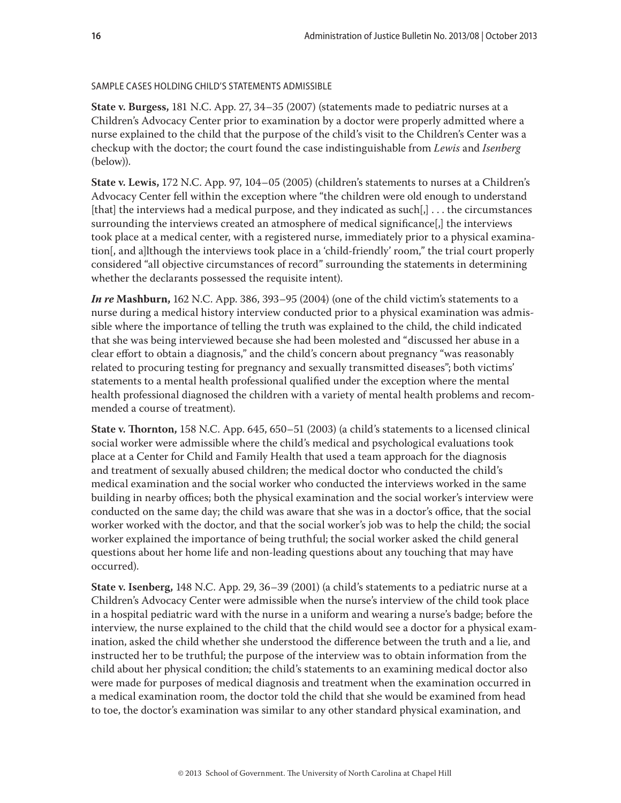## SAMPLE CASES HOLDING CHILD'S STATEMENTS ADMISSIBLE

**State v. Burgess,** 181 N.C. App. 27, 34–35 (2007) (statements made to pediatric nurses at a Children's Advocacy Center prior to examination by a doctor were properly admitted where a nurse explained to the child that the purpose of the child's visit to the Children's Center was a checkup with the doctor; the court found the case indistinguishable from *Lewis* and *Isenberg* (below)).

**State v. Lewis,** 172 N.C. App. 97, 104–05 (2005) (children's statements to nurses at a Children's Advocacy Center fell within the exception where "the children were old enough to understand [that] the interviews had a medical purpose, and they indicated as such $[j]$ ... the circumstances surrounding the interviews created an atmosphere of medical significance[,] the interviews took place at a medical center, with a registered nurse, immediately prior to a physical examination[, and a]lthough the interviews took place in a 'child-friendly' room," the trial court properly considered "all objective circumstances of record" surrounding the statements in determining whether the declarants possessed the requisite intent).

*In re* **Mashburn,** 162 N.C. App. 386, 393–95 (2004) (one of the child victim's statements to a nurse during a medical history interview conducted prior to a physical examination was admissible where the importance of telling the truth was explained to the child, the child indicated that she was being interviewed because she had been molested and "discussed her abuse in a clear effort to obtain a diagnosis," and the child's concern about pregnancy "was reasonably related to procuring testing for pregnancy and sexually transmitted diseases"; both victims' statements to a mental health professional qualified under the exception where the mental health professional diagnosed the children with a variety of mental health problems and recommended a course of treatment).

**State v. Thornton,** 158 N.C. App. 645, 650–51 (2003) (a child's statements to a licensed clinical social worker were admissible where the child's medical and psychological evaluations took place at a Center for Child and Family Health that used a team approach for the diagnosis and treatment of sexually abused children; the medical doctor who conducted the child's medical examination and the social worker who conducted the interviews worked in the same building in nearby offices; both the physical examination and the social worker's interview were conducted on the same day; the child was aware that she was in a doctor's office, that the social worker worked with the doctor, and that the social worker's job was to help the child; the social worker explained the importance of being truthful; the social worker asked the child general questions about her home life and non-leading questions about any touching that may have occurred).

**State v. Isenberg,** 148 N.C. App. 29, 36–39 (2001) (a child's statements to a pediatric nurse at a Children's Advocacy Center were admissible when the nurse's interview of the child took place in a hospital pediatric ward with the nurse in a uniform and wearing a nurse's badge; before the interview, the nurse explained to the child that the child would see a doctor for a physical examination, asked the child whether she understood the difference between the truth and a lie, and instructed her to be truthful; the purpose of the interview was to obtain information from the child about her physical condition; the child's statements to an examining medical doctor also were made for purposes of medical diagnosis and treatment when the examination occurred in a medical examination room, the doctor told the child that she would be examined from head to toe, the doctor's examination was similar to any other standard physical examination, and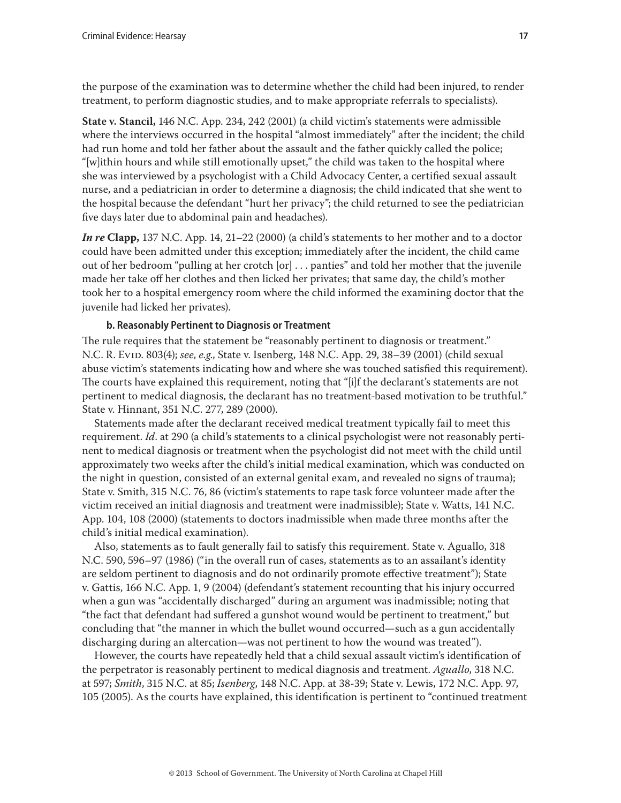<span id="page-16-0"></span>the purpose of the examination was to determine whether the child had been injured, to render treatment, to perform diagnostic studies, and to make appropriate referrals to specialists).

**State v. Stancil,** 146 N.C. App. 234, 242 (2001) (a child victim's statements were admissible where the interviews occurred in the hospital "almost immediately" after the incident; the child had run home and told her father about the assault and the father quickly called the police; "[w]ithin hours and while still emotionally upset," the child was taken to the hospital where she was interviewed by a psychologist with a Child Advocacy Center, a certified sexual assault nurse, and a pediatrician in order to determine a diagnosis; the child indicated that she went to the hospital because the defendant "hurt her privacy"; the child returned to see the pediatrician five days later due to abdominal pain and headaches).

*In re* **Clapp,** 137 N.C. App. 14, 21–22 (2000) (a child's statements to her mother and to a doctor could have been admitted under this exception; immediately after the incident, the child came out of her bedroom "pulling at her crotch [or] . . . panties" and told her mother that the juvenile made her take off her clothes and then licked her privates; that same day, the child's mother took her to a hospital emergency room where the child informed the examining doctor that the juvenile had licked her privates).

#### **b. Reasonably Pertinent to Diagnosis or Treatment**

The rule requires that the statement be "reasonably pertinent to diagnosis or treatment." N.C. R. Evid. 803(4); *see*, *e.g*., State v. Isenberg, 148 N.C. App. 29, 38–39 (2001) (child sexual abuse victim's statements indicating how and where she was touched satisfied this requirement). The courts have explained this requirement, noting that "[i]f the declarant's statements are not pertinent to medical diagnosis, the declarant has no treatment-based motivation to be truthful." State v. Hinnant, 351 N.C. 277, 289 (2000).

Statements made after the declarant received medical treatment typically fail to meet this requirement. *Id*. at 290 (a child's statements to a clinical psychologist were not reasonably pertinent to medical diagnosis or treatment when the psychologist did not meet with the child until approximately two weeks after the child's initial medical examination, which was conducted on the night in question, consisted of an external genital exam, and revealed no signs of trauma); State v. Smith, 315 N.C. 76, 86 (victim's statements to rape task force volunteer made after the victim received an initial diagnosis and treatment were inadmissible); State v. Watts, 141 N.C. App. 104, 108 (2000) (statements to doctors inadmissible when made three months after the child's initial medical examination).

Also, statements as to fault generally fail to satisfy this requirement. State v. Aguallo, 318 N.C. 590, 596–97 (1986) ("in the overall run of cases, statements as to an assailant's identity are seldom pertinent to diagnosis and do not ordinarily promote effective treatment"); State v. Gattis, 166 N.C. App. 1, 9 (2004) (defendant's statement recounting that his injury occurred when a gun was "accidentally discharged" during an argument was inadmissible; noting that "the fact that defendant had suffered a gunshot wound would be pertinent to treatment," but concluding that "the manner in which the bullet wound occurred—such as a gun accidentally discharging during an altercation—was not pertinent to how the wound was treated").

However, the courts have repeatedly held that a child sexual assault victim's identification of the perpetrator is reasonably pertinent to medical diagnosis and treatment. *Aguallo*, 318 N.C. at 597; *Smith*, 315 N.C. at 85; *Isenberg*, 148 N.C. App. at 38-39; State v. Lewis, 172 N.C. App. 97, 105 (2005). As the courts have explained, this identification is pertinent to "continued treatment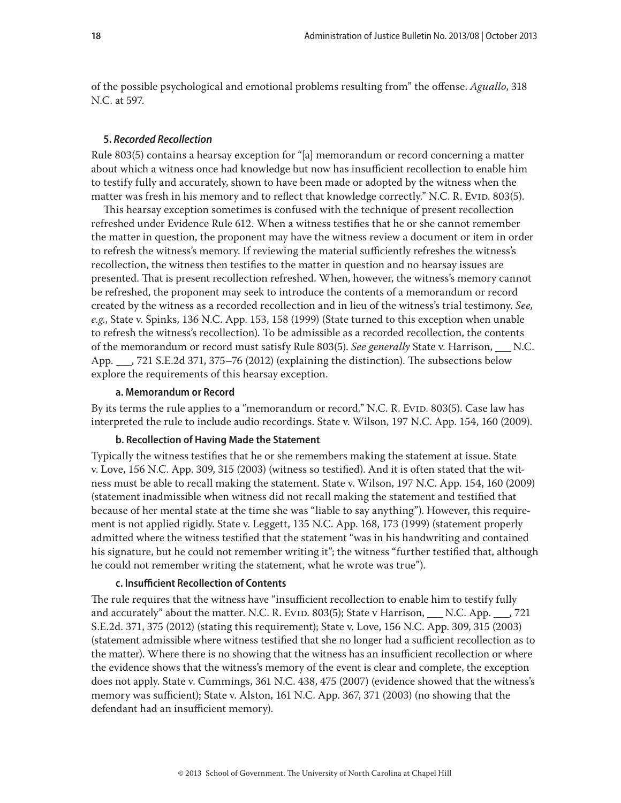<span id="page-17-0"></span>of the possible psychological and emotional problems resulting from" the offense. *Aguallo*, 318 N.C. at 597.

#### **5.** *Recorded Recollection*

Rule 803(5) contains a hearsay exception for "[a] memorandum or record concerning a matter about which a witness once had knowledge but now has insufficient recollection to enable him to testify fully and accurately, shown to have been made or adopted by the witness when the matter was fresh in his memory and to reflect that knowledge correctly." N.C. R. Evid. 803(5).

This hearsay exception sometimes is confused with the technique of present recollection refreshed under Evidence Rule 612. When a witness testifies that he or she cannot remember the matter in question, the proponent may have the witness review a document or item in order to refresh the witness's memory. If reviewing the material sufficiently refreshes the witness's recollection, the witness then testifies to the matter in question and no hearsay issues are presented. That is present recollection refreshed. When, however, the witness's memory cannot be refreshed, the proponent may seek to introduce the contents of a memorandum or record created by the witness as a recorded recollection and in lieu of the witness's trial testimony. *See, e.g*., State v. Spinks, 136 N.C. App. 153, 158 (1999) (State turned to this exception when unable to refresh the witness's recollection). To be admissible as a recorded recollection, the contents of the memorandum or record must satisfy Rule 803(5). *See generally* State v. Harrison, \_\_\_ N.C. App. \_\_\_, 721 S.E.2d 371, 375–76 (2012) (explaining the distinction). The subsections below explore the requirements of this hearsay exception.

#### **a. Memorandum or Record**

By its terms the rule applies to a "memorandum or record." N.C. R. Evip. 803(5). Case law has interpreted the rule to include audio recordings. State v. Wilson, 197 N.C. App. 154, 160 (2009).

## **b. Recollection of Having Made the Statement**

Typically the witness testifies that he or she remembers making the statement at issue. State v. Love, 156 N.C. App. 309, 315 (2003) (witness so testified). And it is often stated that the witness must be able to recall making the statement. State v. Wilson, 197 N.C. App. 154, 160 (2009) (statement inadmissible when witness did not recall making the statement and testified that because of her mental state at the time she was "liable to say anything"). However, this requirement is not applied rigidly. State v. Leggett, 135 N.C. App. 168, 173 (1999) (statement properly admitted where the witness testified that the statement "was in his handwriting and contained his signature, but he could not remember writing it"; the witness "further testified that, although he could not remember writing the statement, what he wrote was true").

#### **c. Insufficient Recollection of Contents**

The rule requires that the witness have "insufficient recollection to enable him to testify fully and accurately" about the matter. N.C. R. Evid. 803(5); State v Harrison,  $\ldots$  N.C. App.  $\ldots$ , 721 S.E.2d. 371, 375 (2012) (stating this requirement); State v. Love, 156 N.C. App. 309, 315 (2003) (statement admissible where witness testified that she no longer had a sufficient recollection as to the matter). Where there is no showing that the witness has an insufficient recollection or where the evidence shows that the witness's memory of the event is clear and complete, the exception does not apply. State v. Cummings, 361 N.C. 438, 475 (2007) (evidence showed that the witness's memory was sufficient); State v. Alston, 161 N.C. App. 367, 371 (2003) (no showing that the defendant had an insufficient memory).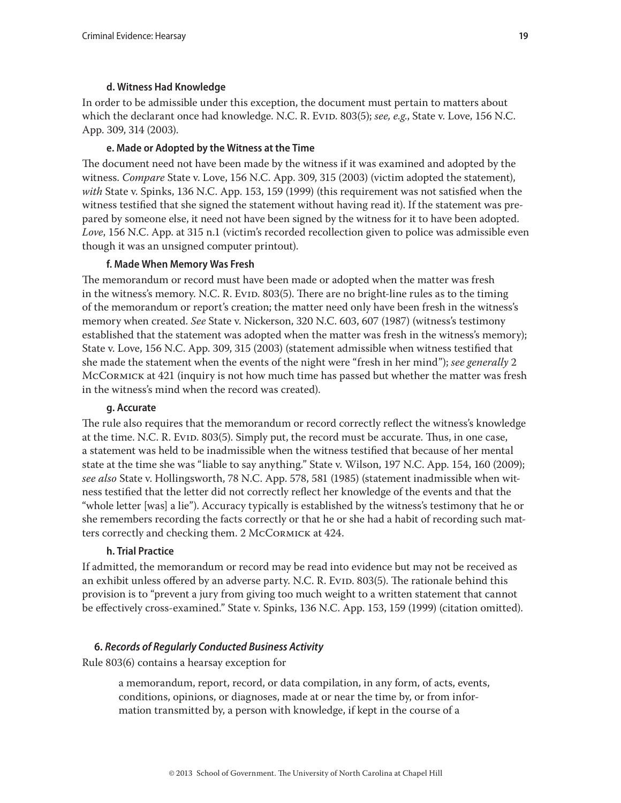## **d. Witness Had Knowledge**

<span id="page-18-0"></span>In order to be admissible under this exception, the document must pertain to matters about which the declarant once had knowledge. N.C. R. Evid. 803(5); see, e.g., State v. Love, 156 N.C. App. 309, 314 (2003).

## **e. Made or Adopted by the Witness at the Time**

The document need not have been made by the witness if it was examined and adopted by the witness. *Compare* State v. Love, 156 N.C. App. 309, 315 (2003) (victim adopted the statement), *with* State v. Spinks, 136 N.C. App. 153, 159 (1999) (this requirement was not satisfied when the witness testified that she signed the statement without having read it). If the statement was prepared by someone else, it need not have been signed by the witness for it to have been adopted. *Love*, 156 N.C. App. at 315 n.1 (victim's recorded recollection given to police was admissible even though it was an unsigned computer printout).

## **f. Made When Memory Was Fresh**

The memorandum or record must have been made or adopted when the matter was fresh in the witness's memory. N.C. R. Evid. 803(5). There are no bright-line rules as to the timing of the memorandum or report's creation; the matter need only have been fresh in the witness's memory when created. *See* State v. Nickerson, 320 N.C. 603, 607 (1987) (witness's testimony established that the statement was adopted when the matter was fresh in the witness's memory); State v. Love, 156 N.C. App. 309, 315 (2003) (statement admissible when witness testified that she made the statement when the events of the night were "fresh in her mind"); *see generally* 2 McCormick at 421 (inquiry is not how much time has passed but whether the matter was fresh in the witness's mind when the record was created).

## **g. Accurate**

The rule also requires that the memorandum or record correctly reflect the witness's knowledge at the time. N.C. R. Evid. 803(5). Simply put, the record must be accurate. Thus, in one case, a statement was held to be inadmissible when the witness testified that because of her mental state at the time she was "liable to say anything." State v. Wilson, 197 N.C. App. 154, 160 (2009); *see also* State v. Hollingsworth, 78 N.C. App. 578, 581 (1985) (statement inadmissible when witness testified that the letter did not correctly reflect her knowledge of the events and that the "whole letter [was] a lie"). Accuracy typically is established by the witness's testimony that he or she remembers recording the facts correctly or that he or she had a habit of recording such matters correctly and checking them. 2 McCormick at 424.

## **h. Trial Practice**

If admitted, the memorandum or record may be read into evidence but may not be received as an exhibit unless offered by an adverse party. N.C. R. Evid. 803(5). The rationale behind this provision is to "prevent a jury from giving too much weight to a written statement that cannot be effectively cross-examined." State v. Spinks, 136 N.C. App. 153, 159 (1999) (citation omitted).

## **6.** *Records of Regularly Conducted Business Activity*

Rule 803(6) contains a hearsay exception for

a memorandum, report, record, or data compilation, in any form, of acts, events, conditions, opinions, or diagnoses, made at or near the time by, or from information transmitted by, a person with knowledge, if kept in the course of a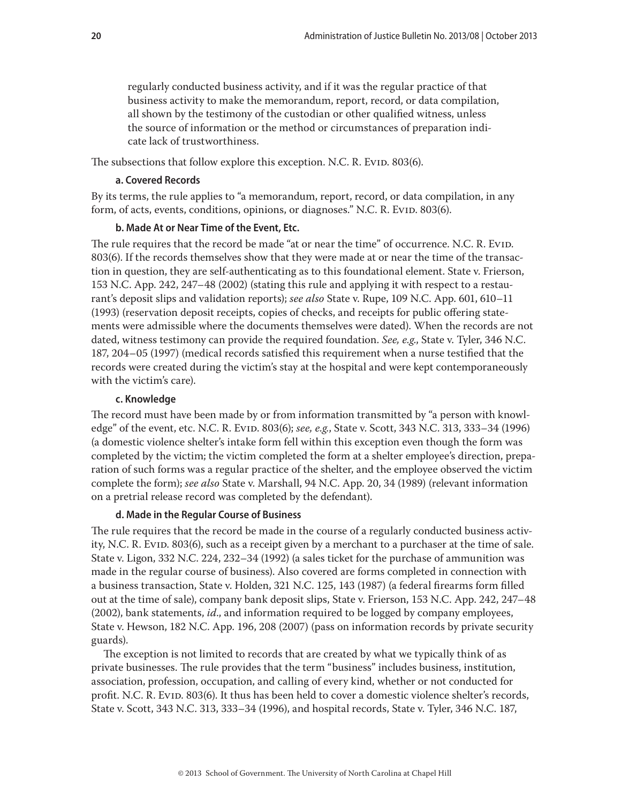<span id="page-19-0"></span>regularly conducted business activity, and if it was the regular practice of that business activity to make the memorandum, report, record, or data compilation, all shown by the testimony of the custodian or other qualified witness, unless the source of information or the method or circumstances of preparation indicate lack of trustworthiness.

The subsections that follow explore this exception. N.C. R. Evid. 803(6).

#### **a. Covered Records**

By its terms, the rule applies to "a memorandum, report, record, or data compilation, in any form, of acts, events, conditions, opinions, or diagnoses." N.C. R. Evid. 803(6).

## **b. Made At or Near Time of the Event, Etc.**

The rule requires that the record be made "at or near the time" of occurrence. N.C. R. Evid. 803(6). If the records themselves show that they were made at or near the time of the transaction in question, they are self-authenticating as to this foundational element. State v. Frierson, 153 N.C. App. 242, 247–48 (2002) (stating this rule and applying it with respect to a restaurant's deposit slips and validation reports); *see also* State v. Rupe, 109 N.C. App. 601, 610–11 (1993) (reservation deposit receipts, copies of checks, and receipts for public offering statements were admissible where the documents themselves were dated). When the records are not dated, witness testimony can provide the required foundation. *See, e.g*., State v. Tyler, 346 N.C. 187, 204–05 (1997) (medical records satisfied this requirement when a nurse testified that the records were created during the victim's stay at the hospital and were kept contemporaneously with the victim's care).

#### **c. Knowledge**

The record must have been made by or from information transmitted by "a person with knowledge" of the event, etc. N.C. R. Evid. 803(6); *see, e.g.*, State v. Scott, 343 N.C. 313, 333–34 (1996) (a domestic violence shelter's intake form fell within this exception even though the form was completed by the victim; the victim completed the form at a shelter employee's direction, preparation of such forms was a regular practice of the shelter, and the employee observed the victim complete the form); *see also* State v. Marshall, 94 N.C. App. 20, 34 (1989) (relevant information on a pretrial release record was completed by the defendant).

#### **d. Made in the Regular Course of Business**

The rule requires that the record be made in the course of a regularly conducted business activity, N.C. R. Evid. 803(6), such as a receipt given by a merchant to a purchaser at the time of sale. State v. Ligon, 332 N.C. 224, 232–34 (1992) (a sales ticket for the purchase of ammunition was made in the regular course of business). Also covered are forms completed in connection with a business transaction, State v. Holden, 321 N.C. 125, 143 (1987) (a federal firearms form filled out at the time of sale), company bank deposit slips, State v. Frierson, 153 N.C. App. 242, 247–48 (2002), bank statements, *id*., and information required to be logged by company employees, State v. Hewson, 182 N.C. App. 196, 208 (2007) (pass on information records by private security guards).

The exception is not limited to records that are created by what we typically think of as private businesses. The rule provides that the term "business" includes business, institution, association, profession, occupation, and calling of every kind, whether or not conducted for profit. N.C. R. Evid. 803(6). It thus has been held to cover a domestic violence shelter's records, State v. Scott, 343 N.C. 313, 333–34 (1996), and hospital records, State v. Tyler, 346 N.C. 187,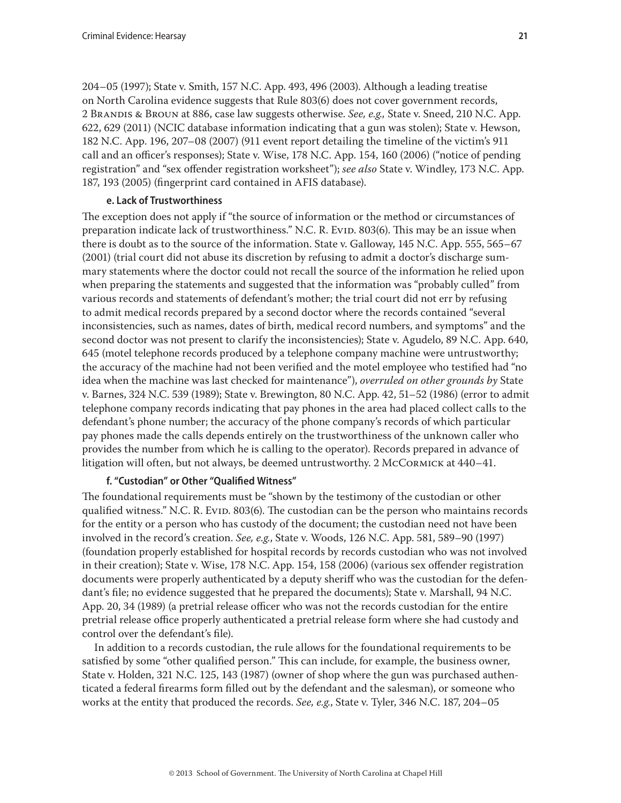<span id="page-20-0"></span>204–05 (1997); State v. Smith, 157 N.C. App. 493, 496 (2003). Although a leading treatise on North Carolina evidence suggests that Rule 803(6) does not cover government records, 2 Brandis & Broun at 886, case law suggests otherwise. *See, e.g.,* State v. Sneed, 210 N.C. App. 622, 629 (2011) (NCIC database information indicating that a gun was stolen); State v. Hewson, 182 N.C. App. 196, 207–08 (2007) (911 event report detailing the timeline of the victim's 911 call and an officer's responses); State v. Wise, 178 N.C. App. 154, 160 (2006) ("notice of pending registration" and "sex offender registration worksheet"); *see also* State v. Windley, 173 N.C. App. 187, 193 (2005) (fingerprint card contained in AFIS database).

#### **e. Lack of Trustworthiness**

The exception does not apply if "the source of information or the method or circumstances of preparation indicate lack of trustworthiness." N.C. R. Evid. 803(6). This may be an issue when there is doubt as to the source of the information. State v. Galloway, 145 N.C. App. 555, 565–67 (2001) (trial court did not abuse its discretion by refusing to admit a doctor's discharge summary statements where the doctor could not recall the source of the information he relied upon when preparing the statements and suggested that the information was "probably culled" from various records and statements of defendant's mother; the trial court did not err by refusing to admit medical records prepared by a second doctor where the records contained "several inconsistencies, such as names, dates of birth, medical record numbers, and symptoms" and the second doctor was not present to clarify the inconsistencies); State v. Agudelo, 89 N.C. App. 640, 645 (motel telephone records produced by a telephone company machine were untrustworthy; the accuracy of the machine had not been verified and the motel employee who testified had "no idea when the machine was last checked for maintenance"), *overruled on other grounds by* State v. Barnes, 324 N.C. 539 (1989); State v. Brewington, 80 N.C. App. 42, 51–52 (1986) (error to admit telephone company records indicating that pay phones in the area had placed collect calls to the defendant's phone number; the accuracy of the phone company's records of which particular pay phones made the calls depends entirely on the trustworthiness of the unknown caller who provides the number from which he is calling to the operator). Records prepared in advance of litigation will often, but not always, be deemed untrustworthy. 2 McCormick at 440–41.

## **f. "Custodian" or Other "Qualified Witness"**

The foundational requirements must be "shown by the testimony of the custodian or other qualified witness." N.C. R. Evid. 803(6). The custodian can be the person who maintains records for the entity or a person who has custody of the document; the custodian need not have been involved in the record's creation. *See, e.g.*, State v. Woods, 126 N.C. App. 581, 589–90 (1997) (foundation properly established for hospital records by records custodian who was not involved in their creation); State v. Wise, 178 N.C. App. 154, 158 (2006) (various sex offender registration documents were properly authenticated by a deputy sheriff who was the custodian for the defendant's file; no evidence suggested that he prepared the documents); State v. Marshall, 94 N.C. App. 20, 34 (1989) (a pretrial release officer who was not the records custodian for the entire pretrial release office properly authenticated a pretrial release form where she had custody and control over the defendant's file).

In addition to a records custodian, the rule allows for the foundational requirements to be satisfied by some "other qualified person." This can include, for example, the business owner, State v. Holden, 321 N.C. 125, 143 (1987) (owner of shop where the gun was purchased authenticated a federal firearms form filled out by the defendant and the salesman), or someone who works at the entity that produced the records. *See, e.g.*, State v. Tyler, 346 N.C. 187, 204–05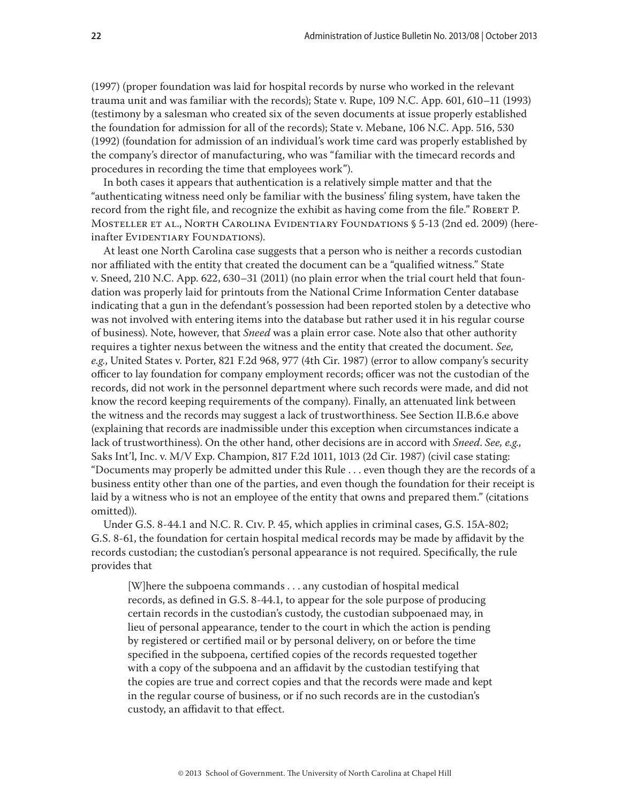(1997) (proper foundation was laid for hospital records by nurse who worked in the relevant trauma unit and was familiar with the records); State v. Rupe, 109 N.C. App. 601, 610–11 (1993) (testimony by a salesman who created six of the seven documents at issue properly established the foundation for admission for all of the records); State v. Mebane, 106 N.C. App. 516, 530 (1992) (foundation for admission of an individual's work time card was properly established by the company's director of manufacturing, who was "familiar with the timecard records and procedures in recording the time that employees work").

In both cases it appears that authentication is a relatively simple matter and that the "authenticating witness need only be familiar with the business' filing system, have taken the record from the right file, and recognize the exhibit as having come from the file." ROBERT P. Mosteller et al., North Carolina Evidentiary Foundations § 5-13 (2nd ed. 2009) (hereinafter EVIDENTIARY FOUNDATIONS).

At least one North Carolina case suggests that a person who is neither a records custodian nor affiliated with the entity that created the document can be a "qualified witness." State v. Sneed, 210 N.C. App. 622, 630–31 (2011) (no plain error when the trial court held that foundation was properly laid for printouts from the National Crime Information Center database indicating that a gun in the defendant's possession had been reported stolen by a detective who was not involved with entering items into the database but rather used it in his regular course of business). Note, however, that *Sneed* was a plain error case. Note also that other authority requires a tighter nexus between the witness and the entity that created the document. *See, e.g.*, United States v. Porter, 821 F.2d 968, 977 (4th Cir. 1987) (error to allow company's security officer to lay foundation for company employment records; officer was not the custodian of the records, did not work in the personnel department where such records were made, and did not know the record keeping requirements of the company). Finally, an attenuated link between the witness and the records may suggest a lack of trustworthiness. See Section II.B.6.e above (explaining that records are inadmissible under this exception when circumstances indicate a lack of trustworthiness). On the other hand, other decisions are in accord with *Sneed*. *See, e.g.*, Saks Int'l, Inc. v. M/V Exp. Champion, 817 F.2d 1011, 1013 (2d Cir. 1987) (civil case stating: "Documents may properly be admitted under this Rule . . . even though they are the records of a business entity other than one of the parties, and even though the foundation for their receipt is laid by a witness who is not an employee of the entity that owns and prepared them." (citations omitted)).

Under G.S. 8-44.1 and N.C. R. Civ. P. 45, which applies in criminal cases, G.S. 15A-802; G.S. 8-61, the foundation for certain hospital medical records may be made by affidavit by the records custodian; the custodian's personal appearance is not required. Specifically, the rule provides that

[W]here the subpoena commands . . . any custodian of hospital medical records, as defined in G.S. 8-44.1, to appear for the sole purpose of producing certain records in the custodian's custody, the custodian subpoenaed may, in lieu of personal appearance, tender to the court in which the action is pending by registered or certified mail or by personal delivery, on or before the time specified in the subpoena, certified copies of the records requested together with a copy of the subpoena and an affidavit by the custodian testifying that the copies are true and correct copies and that the records were made and kept in the regular course of business, or if no such records are in the custodian's custody, an affidavit to that effect.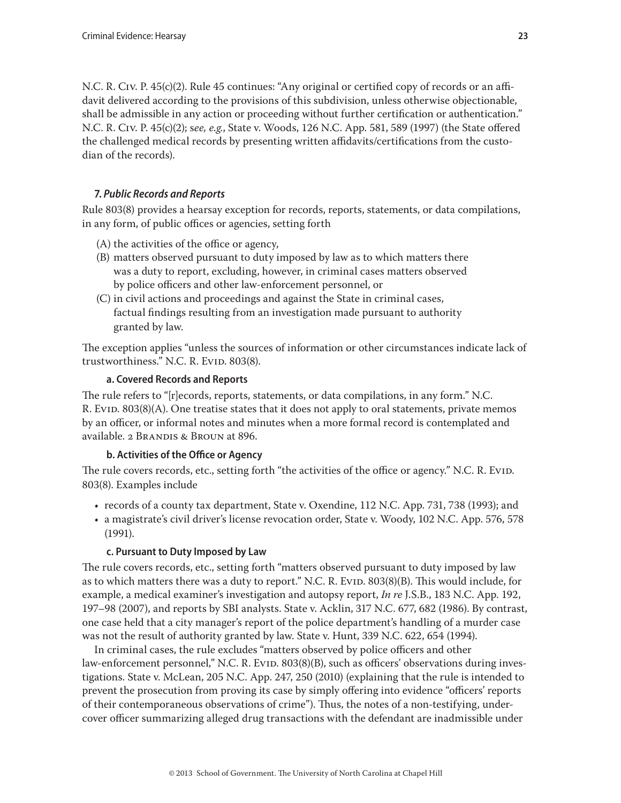<span id="page-22-0"></span>N.C. R. Civ. P. 45(c)(2). Rule 45 continues: "Any original or certified copy of records or an affidavit delivered according to the provisions of this subdivision, unless otherwise objectionable, shall be admissible in any action or proceeding without further certification or authentication." N.C. R. Civ. P. 45(c)(2); s*ee, e.g.*, State v. Woods, 126 N.C. App. 581, 589 (1997) (the State offered the challenged medical records by presenting written affidavits/certifications from the custodian of the records).

## **7.** *Public Records and Reports*

Rule 803(8) provides a hearsay exception for records, reports, statements, or data compilations, in any form, of public offices or agencies, setting forth

- (A) the activities of the office or agency,
- (B) matters observed pursuant to duty imposed by law as to which matters there was a duty to report, excluding, however, in criminal cases matters observed by police officers and other law-enforcement personnel, or
- (C) in civil actions and proceedings and against the State in criminal cases, factual findings resulting from an investigation made pursuant to authority granted by law.

The exception applies "unless the sources of information or other circumstances indicate lack of trustworthiness." N.C. R. Evid. 803(8).

## **a. Covered Records and Reports**

The rule refers to "[r]ecords, reports, statements, or data compilations, in any form." N.C. R. Evid. 803(8)(A). One treatise states that it does not apply to oral statements, private memos by an officer, or informal notes and minutes when a more formal record is contemplated and available. 2 Brandis & Broun at 896.

## **b. Activities of the Office or Agency**

The rule covers records, etc., setting forth "the activities of the office or agency." N.C. R. Evid. 803(8). Examples include

- records of a county tax department, State v. Oxendine, 112 N.C. App. 731, 738 (1993); and
- a magistrate's civil driver's license revocation order, State v. Woody, 102 N.C. App. 576, 578 (1991).

## **c. Pursuant to Duty Imposed by Law**

The rule covers records, etc., setting forth "matters observed pursuant to duty imposed by law as to which matters there was a duty to report." N.C. R. Evid. 803(8)(B). This would include, for example, a medical examiner's investigation and autopsy report, *In re* J.S.B., 183 N.C. App. 192, 197–98 (2007), and reports by SBI analysts. State v. Acklin, 317 N.C. 677, 682 (1986). By contrast, one case held that a city manager's report of the police department's handling of a murder case was not the result of authority granted by law. State v. Hunt, 339 N.C. 622, 654 (1994).

In criminal cases, the rule excludes "matters observed by police officers and other law-enforcement personnel," N.C. R. Evid. 803(8)(B), such as officers' observations during investigations. State v. McLean, 205 N.C. App. 247, 250 (2010) (explaining that the rule is intended to prevent the prosecution from proving its case by simply offering into evidence "officers' reports of their contemporaneous observations of crime"). Thus, the notes of a non-testifying, undercover officer summarizing alleged drug transactions with the defendant are inadmissible under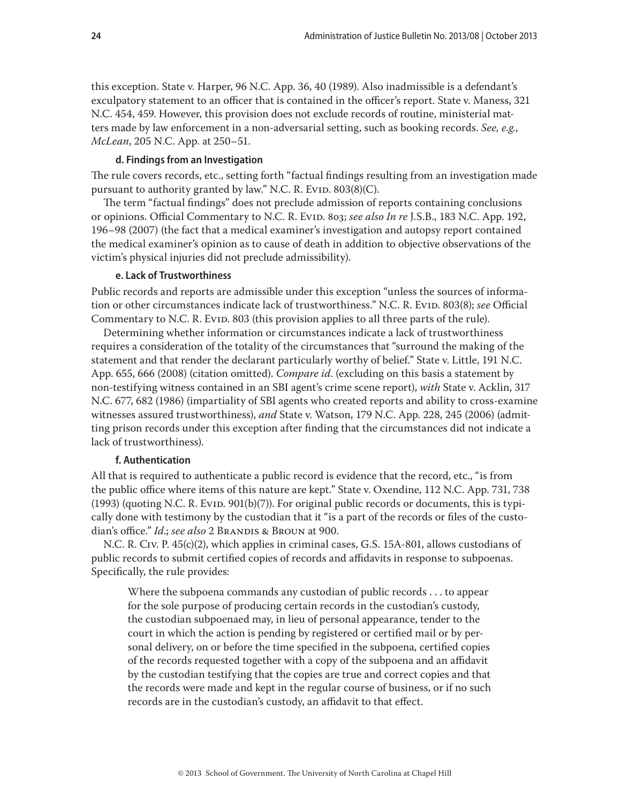<span id="page-23-0"></span>this exception. State v. Harper, 96 N.C. App. 36, 40 (1989). Also inadmissible is a defendant's exculpatory statement to an officer that is contained in the officer's report. State v. Maness, 321 N.C. 454, 459. However, this provision does not exclude records of routine, ministerial matters made by law enforcement in a non-adversarial setting, such as booking records. *See, e.g.*, *McLean*, 205 N.C. App. at 250–51.

#### **d. Findings from an Investigation**

The rule covers records, etc., setting forth "factual findings resulting from an investigation made pursuant to authority granted by law." N.C. R. Evid.  $803(8)(C)$ .

The term "factual findings" does not preclude admission of reports containing conclusions or opinions. Official Commentary to N.C. R. Evid. 803; *see also In re* J.S.B., 183 N.C. App. 192, 196–98 (2007) (the fact that a medical examiner's investigation and autopsy report contained the medical examiner's opinion as to cause of death in addition to objective observations of the victim's physical injuries did not preclude admissibility).

#### **e. Lack of Trustworthiness**

Public records and reports are admissible under this exception "unless the sources of information or other circumstances indicate lack of trustworthiness." N.C. R. Evip. 803(8); *see* Official Commentary to N.C. R. Evip. 803 (this provision applies to all three parts of the rule).

Determining whether information or circumstances indicate a lack of trustworthiness requires a consideration of the totality of the circumstances that "surround the making of the statement and that render the declarant particularly worthy of belief." State v. Little, 191 N.C. App. 655, 666 (2008) (citation omitted). *Compare id*. (excluding on this basis a statement by non-testifying witness contained in an SBI agent's crime scene report), *with* State v. Acklin, 317 N.C. 677, 682 (1986) (impartiality of SBI agents who created reports and ability to cross-examine witnesses assured trustworthiness), *and* State v. Watson, 179 N.C. App. 228, 245 (2006) (admitting prison records under this exception after finding that the circumstances did not indicate a lack of trustworthiness).

#### **f. Authentication**

All that is required to authenticate a public record is evidence that the record, etc., "is from the public office where items of this nature are kept." State v. Oxendine, 112 N.C. App. 731, 738  $(1993)$  (quoting N.C. R. Evid. 901(b)(7)). For original public records or documents, this is typically done with testimony by the custodian that it "is a part of the records or files of the custodian's office." *Id*.; *see also* 2 Brandis & Broun at 900.

N.C. R. Civ. P. 45(c)(2), which applies in criminal cases, G.S. 15A-801, allows custodians of public records to submit certified copies of records and affidavits in response to subpoenas. Specifically, the rule provides:

Where the subpoena commands any custodian of public records . . . to appear for the sole purpose of producing certain records in the custodian's custody, the custodian subpoenaed may, in lieu of personal appearance, tender to the court in which the action is pending by registered or certified mail or by personal delivery, on or before the time specified in the subpoena, certified copies of the records requested together with a copy of the subpoena and an affidavit by the custodian testifying that the copies are true and correct copies and that the records were made and kept in the regular course of business, or if no such records are in the custodian's custody, an affidavit to that effect.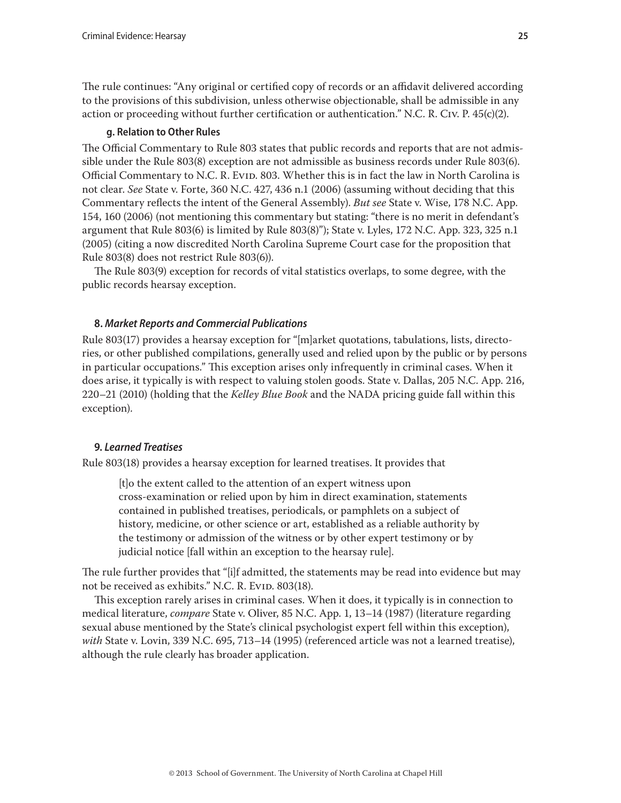<span id="page-24-0"></span>The rule continues: "Any original or certified copy of records or an affidavit delivered according to the provisions of this subdivision, unless otherwise objectionable, shall be admissible in any action or proceeding without further certification or authentication." N.C. R. Civ. P.  $45(c)(2)$ .

## **g. Relation to Other Rules**

The Official Commentary to Rule 803 states that public records and reports that are not admissible under the Rule 803(8) exception are not admissible as business records under Rule 803(6). Official Commentary to N.C. R. Evid. 803. Whether this is in fact the law in North Carolina is not clear. *See* State v. Forte, 360 N.C. 427, 436 n.1 (2006) (assuming without deciding that this Commentary reflects the intent of the General Assembly). *But see* State v. Wise, 178 N.C. App. 154, 160 (2006) (not mentioning this commentary but stating: "there is no merit in defendant's argument that Rule 803(6) is limited by Rule 803(8)"); State v. Lyles, 172 N.C. App. 323, 325 n.1 (2005) (citing a now discredited North Carolina Supreme Court case for the proposition that Rule 803(8) does not restrict Rule 803(6)).

The Rule 803(9) exception for records of vital statistics overlaps, to some degree, with the public records hearsay exception.

## **8.** *Market Reports and Commercial Publications*

Rule 803(17) provides a hearsay exception for "[m]arket quotations, tabulations, lists, directories, or other published compilations, generally used and relied upon by the public or by persons in particular occupations." This exception arises only infrequently in criminal cases. When it does arise, it typically is with respect to valuing stolen goods. State v. Dallas, 205 N.C. App. 216, 220–21 (2010) (holding that the *Kelley Blue Book* and the NADA pricing guide fall within this exception).

## **9.** *Learned Treatises*

Rule 803(18) provides a hearsay exception for learned treatises. It provides that

[t]o the extent called to the attention of an expert witness upon cross-examination or relied upon by him in direct examination, statements contained in published treatises, periodicals, or pamphlets on a subject of history, medicine, or other science or art, established as a reliable authority by the testimony or admission of the witness or by other expert testimony or by judicial notice [fall within an exception to the hearsay rule].

The rule further provides that "[i]f admitted, the statements may be read into evidence but may not be received as exhibits." N.C. R. Evid. 803(18).

This exception rarely arises in criminal cases. When it does, it typically is in connection to medical literature, *compare* State v. Oliver, 85 N.C. App. 1, 13–14 (1987) (literature regarding sexual abuse mentioned by the State's clinical psychologist expert fell within this exception), *with* State v. Lovin, 339 N.C. 695, 713–14 (1995) (referenced article was not a learned treatise), although the rule clearly has broader application.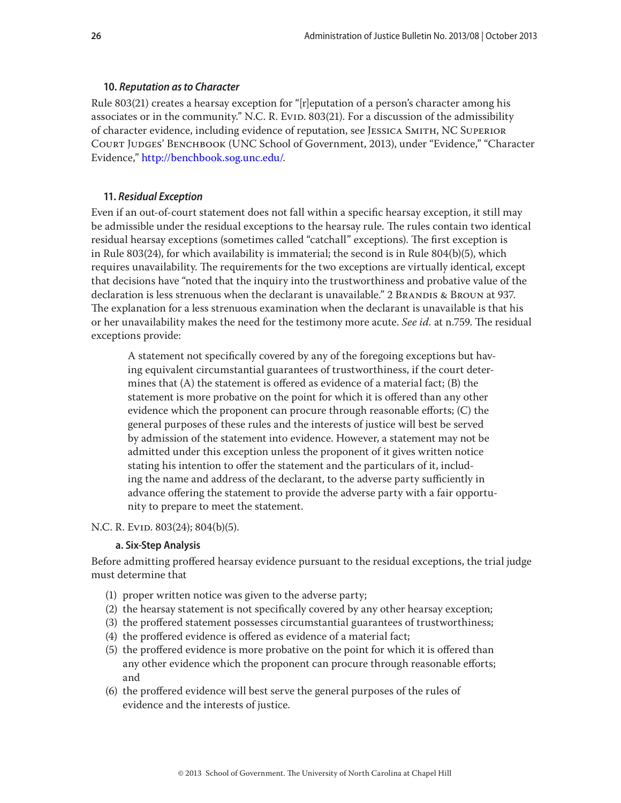#### <span id="page-25-0"></span>**10.** *Reputation as to Character*

Rule 803(21) creates a hearsay exception for "[r]eputation of a person's character among his associates or in the community." N.C. R. Evid. 803(21). For a discussion of the admissibility of character evidence, including evidence of reputation, see Jessica Smith, NC Superior Court Judges' Benchbook (UNC School of Government, 2013), under "Evidence," "Character Evidence," [http://benchbook.sog.unc.edu/.](http://benchbook.sog.unc.edu/)

#### **11.** *Residual Exception*

Even if an out-of-court statement does not fall within a specific hearsay exception, it still may be admissible under the residual exceptions to the hearsay rule. The rules contain two identical residual hearsay exceptions (sometimes called "catchall" exceptions). The first exception is in Rule 803(24), for which availability is immaterial; the second is in Rule 804(b)(5), which requires unavailability. The requirements for the two exceptions are virtually identical, except that decisions have "noted that the inquiry into the trustworthiness and probative value of the declaration is less strenuous when the declarant is unavailable." 2 BRANDIS & BROUN at 937. The explanation for a less strenuous examination when the declarant is unavailable is that his or her unavailability makes the need for the testimony more acute. *See id.* at n.759. The residual exceptions provide:

A statement not specifically covered by any of the foregoing exceptions but having equivalent circumstantial guarantees of trustworthiness, if the court determines that (A) the statement is offered as evidence of a material fact; (B) the statement is more probative on the point for which it is offered than any other evidence which the proponent can procure through reasonable efforts; (C) the general purposes of these rules and the interests of justice will best be served by admission of the statement into evidence. However, a statement may not be admitted under this exception unless the proponent of it gives written notice stating his intention to offer the statement and the particulars of it, including the name and address of the declarant, to the adverse party sufficiently in advance offering the statement to provide the adverse party with a fair opportunity to prepare to meet the statement.

N.C. R. Evid. 803(24); 804(b)(5).

#### **a. Six-Step Analysis**

Before admitting proffered hearsay evidence pursuant to the residual exceptions, the trial judge must determine that

- (1) proper written notice was given to the adverse party;
- (2) the hearsay statement is not specifically covered by any other hearsay exception;
- (3) the proffered statement possesses circumstantial guarantees of trustworthiness;
- (4) the proffered evidence is offered as evidence of a material fact;
- (5) the proffered evidence is more probative on the point for which it is offered than any other evidence which the proponent can procure through reasonable efforts; and
- (6) the proffered evidence will best serve the general purposes of the rules of evidence and the interests of justice.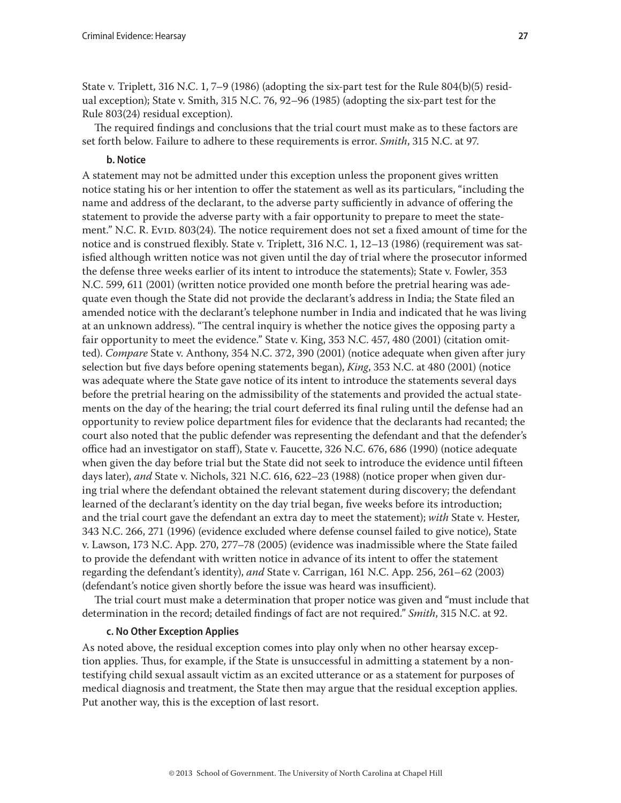<span id="page-26-0"></span>State v. Triplett, 316 N.C. 1, 7–9 (1986) (adopting the six-part test for the Rule 804(b)(5) residual exception); State v. Smith, 315 N.C. 76, 92–96 (1985) (adopting the six-part test for the Rule 803(24) residual exception).

The required findings and conclusions that the trial court must make as to these factors are set forth below. Failure to adhere to these requirements is error. *Smith*, 315 N.C. at 97.

## **b. Notice**

A statement may not be admitted under this exception unless the proponent gives written notice stating his or her intention to offer the statement as well as its particulars, "including the name and address of the declarant, to the adverse party sufficiently in advance of offering the statement to provide the adverse party with a fair opportunity to prepare to meet the statement." N.C. R. Evid. 803(24). The notice requirement does not set a fixed amount of time for the notice and is construed flexibly. State v. Triplett, 316 N.C. 1, 12–13 (1986) (requirement was satisfied although written notice was not given until the day of trial where the prosecutor informed the defense three weeks earlier of its intent to introduce the statements); State v. Fowler, 353 N.C. 599, 611 (2001) (written notice provided one month before the pretrial hearing was adequate even though the State did not provide the declarant's address in India; the State filed an amended notice with the declarant's telephone number in India and indicated that he was living at an unknown address). "The central inquiry is whether the notice gives the opposing party a fair opportunity to meet the evidence." State v. King, 353 N.C. 457, 480 (2001) (citation omitted). *Compare* State v. Anthony, 354 N.C. 372, 390 (2001) (notice adequate when given after jury selection but five days before opening statements began), *King*, 353 N.C. at 480 (2001) (notice was adequate where the State gave notice of its intent to introduce the statements several days before the pretrial hearing on the admissibility of the statements and provided the actual statements on the day of the hearing; the trial court deferred its final ruling until the defense had an opportunity to review police department files for evidence that the declarants had recanted; the court also noted that the public defender was representing the defendant and that the defender's office had an investigator on staff), State v. Faucette, 326 N.C. 676, 686 (1990) (notice adequate when given the day before trial but the State did not seek to introduce the evidence until fifteen days later), *and* State v. Nichols, 321 N.C. 616, 622–23 (1988) (notice proper when given during trial where the defendant obtained the relevant statement during discovery; the defendant learned of the declarant's identity on the day trial began, five weeks before its introduction; and the trial court gave the defendant an extra day to meet the statement); *with* State v. Hester, 343 N.C. 266, 271 (1996) (evidence excluded where defense counsel failed to give notice), State v. Lawson, 173 N.C. App. 270, 277–78 (2005) (evidence was inadmissible where the State failed to provide the defendant with written notice in advance of its intent to offer the statement regarding the defendant's identity), *and* State v. Carrigan, 161 N.C. App. 256, 261–62 (2003) (defendant's notice given shortly before the issue was heard was insufficient).

The trial court must make a determination that proper notice was given and "must include that determination in the record; detailed findings of fact are not required." *Smith*, 315 N.C. at 92.

## **c. No Other Exception Applies**

As noted above, the residual exception comes into play only when no other hearsay exception applies. Thus, for example, if the State is unsuccessful in admitting a statement by a nontestifying child sexual assault victim as an excited utterance or as a statement for purposes of medical diagnosis and treatment, the State then may argue that the residual exception applies. Put another way, this is the exception of last resort.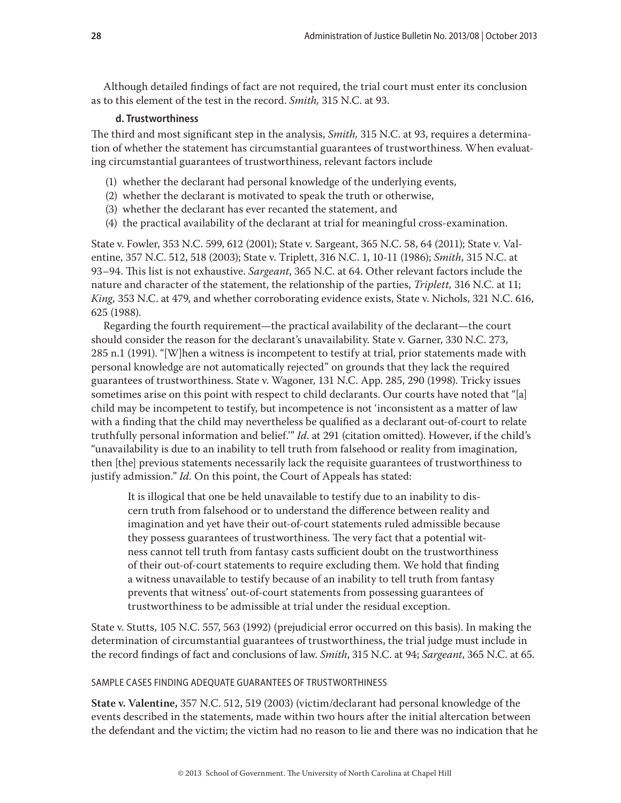<span id="page-27-0"></span>Although detailed findings of fact are not required, the trial court must enter its conclusion as to this element of the test in the record. *Smith,* 315 N.C. at 93.

## **d. Trustworthiness**

The third and most significant step in the analysis, *Smith,* 315 N.C. at 93, requires a determination of whether the statement has circumstantial guarantees of trustworthiness. When evaluating circumstantial guarantees of trustworthiness, relevant factors include

- (1) whether the declarant had personal knowledge of the underlying events,
- (2) whether the declarant is motivated to speak the truth or otherwise,
- (3) whether the declarant has ever recanted the statement, and
- (4) the practical availability of the declarant at trial for meaningful cross-examination.

State v. Fowler, 353 N.C. 599, 612 (2001); State v. Sargeant, 365 N.C. 58, 64 (2011); State v. Valentine, 357 N.C. 512, 518 (2003); State v. Triplett, 316 N.C. 1, 10-11 (1986); *Smith*, 315 N.C. at 93–94. This list is not exhaustive. *Sargeant*, 365 N.C. at 64. Other relevant factors include the nature and character of the statement, the relationship of the parties, *Triplett,* 316 N.C. at 11; *King,* 353 N.C. at 479, and whether corroborating evidence exists, State v. Nichols, 321 N.C. 616, 625 (1988).

Regarding the fourth requirement—the practical availability of the declarant—the court should consider the reason for the declarant's unavailability. State v. Garner, 330 N.C. 273, 285 n.1 (1991). "[W]hen a witness is incompetent to testify at trial, prior statements made with personal knowledge are not automatically rejected" on grounds that they lack the required guarantees of trustworthiness. State v. Wagoner, 131 N.C. App. 285, 290 (1998). Tricky issues sometimes arise on this point with respect to child declarants. Our courts have noted that "[a] child may be incompetent to testify, but incompetence is not 'inconsistent as a matter of law with a finding that the child may nevertheless be qualified as a declarant out-of-court to relate truthfully personal information and belief.'" *Id*. at 291 (citation omitted). However, if the child's "unavailability is due to an inability to tell truth from falsehood or reality from imagination, then [the] previous statements necessarily lack the requisite guarantees of trustworthiness to justify admission." *Id.* On this point, the Court of Appeals has stated:

It is illogical that one be held unavailable to testify due to an inability to discern truth from falsehood or to understand the difference between reality and imagination and yet have their out-of-court statements ruled admissible because they possess guarantees of trustworthiness. The very fact that a potential witness cannot tell truth from fantasy casts sufficient doubt on the trustworthiness of their out-of-court statements to require excluding them. We hold that finding a witness unavailable to testify because of an inability to tell truth from fantasy prevents that witness' out-of-court statements from possessing guarantees of trustworthiness to be admissible at trial under the residual exception.

State v. Stutts, 105 N.C. 557, 563 (1992) (prejudicial error occurred on this basis). In making the determination of circumstantial guarantees of trustworthiness, the trial judge must include in the record findings of fact and conclusions of law. *Smith*, 315 N.C. at 94; *Sargeant*, 365 N.C. at 65.

#### SAMPLE CASES FINDING ADEQUATE GUARANTEES OF TRUSTWORTHINESS

**State v. Valentine,** 357 N.C. 512, 519 (2003) (victim/declarant had personal knowledge of the events described in the statements, made within two hours after the initial altercation between the defendant and the victim; the victim had no reason to lie and there was no indication that he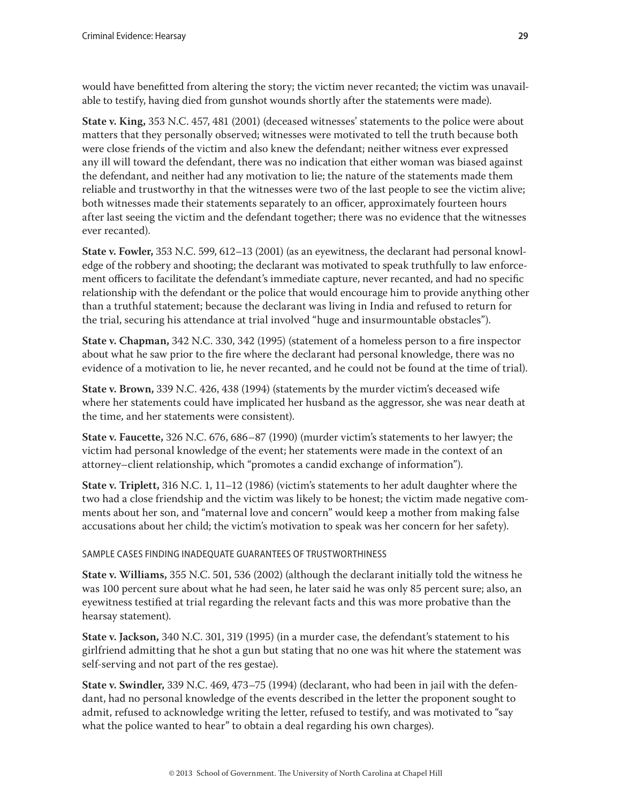would have benefitted from altering the story; the victim never recanted; the victim was unavailable to testify, having died from gunshot wounds shortly after the statements were made).

**State v. King,** 353 N.C. 457, 481 (2001) (deceased witnesses' statements to the police were about matters that they personally observed; witnesses were motivated to tell the truth because both were close friends of the victim and also knew the defendant; neither witness ever expressed any ill will toward the defendant, there was no indication that either woman was biased against the defendant, and neither had any motivation to lie; the nature of the statements made them reliable and trustworthy in that the witnesses were two of the last people to see the victim alive; both witnesses made their statements separately to an officer, approximately fourteen hours after last seeing the victim and the defendant together; there was no evidence that the witnesses ever recanted).

**State v. Fowler,** 353 N.C. 599, 612–13 (2001) (as an eyewitness, the declarant had personal knowledge of the robbery and shooting; the declarant was motivated to speak truthfully to law enforcement officers to facilitate the defendant's immediate capture, never recanted, and had no specific relationship with the defendant or the police that would encourage him to provide anything other than a truthful statement; because the declarant was living in India and refused to return for the trial, securing his attendance at trial involved "huge and insurmountable obstacles").

**State v. Chapman,** 342 N.C. 330, 342 (1995) (statement of a homeless person to a fire inspector about what he saw prior to the fire where the declarant had personal knowledge, there was no evidence of a motivation to lie, he never recanted, and he could not be found at the time of trial).

**State v. Brown,** 339 N.C. 426, 438 (1994) (statements by the murder victim's deceased wife where her statements could have implicated her husband as the aggressor, she was near death at the time, and her statements were consistent).

**State v. Faucette,** 326 N.C. 676, 686–87 (1990) (murder victim's statements to her lawyer; the victim had personal knowledge of the event; her statements were made in the context of an attorney–client relationship, which "promotes a candid exchange of information").

**State v. Triplett,** 316 N.C. 1, 11–12 (1986) (victim's statements to her adult daughter where the two had a close friendship and the victim was likely to be honest; the victim made negative comments about her son, and "maternal love and concern" would keep a mother from making false accusations about her child; the victim's motivation to speak was her concern for her safety).

SAMPLE CASES FINDING INADEQUATE GUARANTEES OF TRUSTWORTHINESS

**State v. Williams,** 355 N.C. 501, 536 (2002) (although the declarant initially told the witness he was 100 percent sure about what he had seen, he later said he was only 85 percent sure; also, an eyewitness testified at trial regarding the relevant facts and this was more probative than the hearsay statement).

**State v. Jackson,** 340 N.C. 301, 319 (1995) (in a murder case, the defendant's statement to his girlfriend admitting that he shot a gun but stating that no one was hit where the statement was self-serving and not part of the res gestae).

**State v. Swindler,** 339 N.C. 469, 473–75 (1994) (declarant, who had been in jail with the defendant, had no personal knowledge of the events described in the letter the proponent sought to admit, refused to acknowledge writing the letter, refused to testify, and was motivated to "say what the police wanted to hear" to obtain a deal regarding his own charges).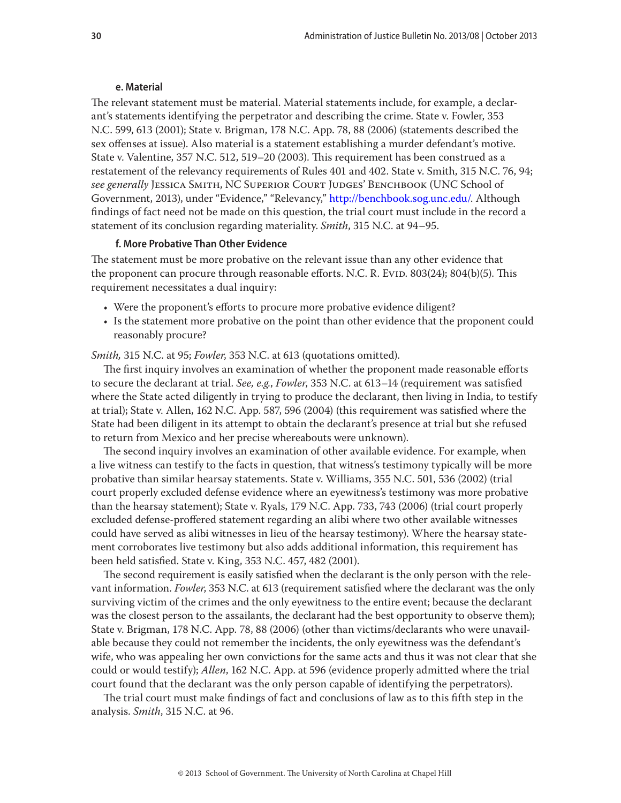#### **e. Material**

<span id="page-29-0"></span>The relevant statement must be material. Material statements include, for example, a declarant's statements identifying the perpetrator and describing the crime. State v. Fowler, 353 N.C. 599, 613 (2001); State v. Brigman, 178 N.C. App. 78, 88 (2006) (statements described the sex offenses at issue). Also material is a statement establishing a murder defendant's motive. State v. Valentine, 357 N.C. 512, 519–20 (2003). This requirement has been construed as a restatement of the relevancy requirements of Rules 401 and 402. State v. Smith, 315 N.C. 76, 94; *see generally* Jessica Smith, NC Superior Court Judges' Benchbook (UNC School of Government, 2013), under "Evidence," "Relevancy," <http://benchbook.sog.unc.edu/>. Although findings of fact need not be made on this question, the trial court must include in the record a statement of its conclusion regarding materiality. *Smith*, 315 N.C. at 94–95.

#### **f. More Probative Than Other Evidence**

The statement must be more probative on the relevant issue than any other evidence that the proponent can procure through reasonable efforts. N.C. R. EviD. 803(24); 804(b)(5). This requirement necessitates a dual inquiry:

- Were the proponent's efforts to procure more probative evidence diligent?
- Is the statement more probative on the point than other evidence that the proponent could reasonably procure?

*Smith,* 315 N.C. at 95; *Fowler*, 353 N.C. at 613 (quotations omitted).

The first inquiry involves an examination of whether the proponent made reasonable efforts to secure the declarant at trial. *See, e.g.*, *Fowler*, 353 N.C. at 613–14 (requirement was satisfied where the State acted diligently in trying to produce the declarant, then living in India, to testify at trial); State v. Allen, 162 N.C. App. 587, 596 (2004) (this requirement was satisfied where the State had been diligent in its attempt to obtain the declarant's presence at trial but she refused to return from Mexico and her precise whereabouts were unknown).

The second inquiry involves an examination of other available evidence. For example, when a live witness can testify to the facts in question, that witness's testimony typically will be more probative than similar hearsay statements. State v. Williams, 355 N.C. 501, 536 (2002) (trial court properly excluded defense evidence where an eyewitness's testimony was more probative than the hearsay statement); State v. Ryals, 179 N.C. App. 733, 743 (2006) (trial court properly excluded defense-proffered statement regarding an alibi where two other available witnesses could have served as alibi witnesses in lieu of the hearsay testimony). Where the hearsay statement corroborates live testimony but also adds additional information, this requirement has been held satisfied. State v. King, 353 N.C. 457, 482 (2001).

The second requirement is easily satisfied when the declarant is the only person with the relevant information. *Fowler*, 353 N.C. at 613 (requirement satisfied where the declarant was the only surviving victim of the crimes and the only eyewitness to the entire event; because the declarant was the closest person to the assailants, the declarant had the best opportunity to observe them); State v. Brigman, 178 N.C. App. 78, 88 (2006) (other than victims/declarants who were unavailable because they could not remember the incidents, the only eyewitness was the defendant's wife, who was appealing her own convictions for the same acts and thus it was not clear that she could or would testify); *Allen*, 162 N.C. App. at 596 (evidence properly admitted where the trial court found that the declarant was the only person capable of identifying the perpetrators).

The trial court must make findings of fact and conclusions of law as to this fifth step in the analysis. *Smith*, 315 N.C. at 96.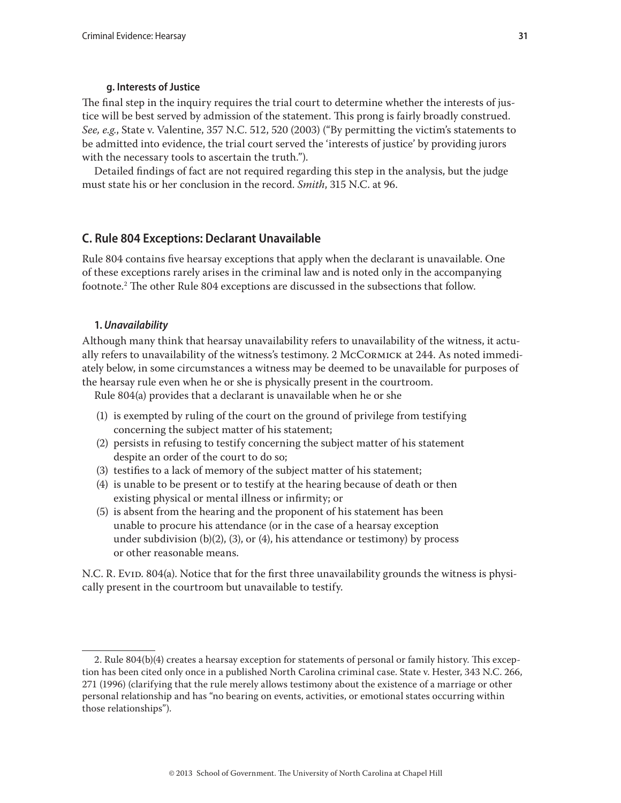## **g. Interests of Justice**

<span id="page-30-0"></span>The final step in the inquiry requires the trial court to determine whether the interests of justice will be best served by admission of the statement. This prong is fairly broadly construed. *See, e.g.*, State v. Valentine, 357 N.C. 512, 520 (2003) ("By permitting the victim's statements to be admitted into evidence, the trial court served the 'interests of justice' by providing jurors with the necessary tools to ascertain the truth.").

Detailed findings of fact are not required regarding this step in the analysis, but the judge must state his or her conclusion in the record. *Smith*, 315 N.C. at 96.

## **C. Rule 804 Exceptions: Declarant Unavailable**

Rule 804 contains five hearsay exceptions that apply when the declarant is unavailable. One of these exceptions rarely arises in the criminal law and is noted only in the accompanying footnote.2 The other Rule 804 exceptions are discussed in the subsections that follow.

## **1.** *Unavailability*

Although many think that hearsay unavailability refers to unavailability of the witness, it actually refers to unavailability of the witness's testimony. 2 McCormick at 244. As noted immediately below, in some circumstances a witness may be deemed to be unavailable for purposes of the hearsay rule even when he or she is physically present in the courtroom.

Rule 804(a) provides that a declarant is unavailable when he or she

- (1) is exempted by ruling of the court on the ground of privilege from testifying concerning the subject matter of his statement;
- (2) persists in refusing to testify concerning the subject matter of his statement despite an order of the court to do so;
- (3) testifies to a lack of memory of the subject matter of his statement;
- (4) is unable to be present or to testify at the hearing because of death or then existing physical or mental illness or infirmity; or
- (5) is absent from the hearing and the proponent of his statement has been unable to procure his attendance (or in the case of a hearsay exception under subdivision (b)(2), (3), or (4), his attendance or testimony) by process or other reasonable means.

N.C. R. Evid. 804(a). Notice that for the first three unavailability grounds the witness is physically present in the courtroom but unavailable to testify.

<sup>2.</sup> Rule 804(b)(4) creates a hearsay exception for statements of personal or family history. This exception has been cited only once in a published North Carolina criminal case. State v. Hester, 343 N.C. 266, 271 (1996) (clarifying that the rule merely allows testimony about the existence of a marriage or other personal relationship and has "no bearing on events, activities, or emotional states occurring within those relationships").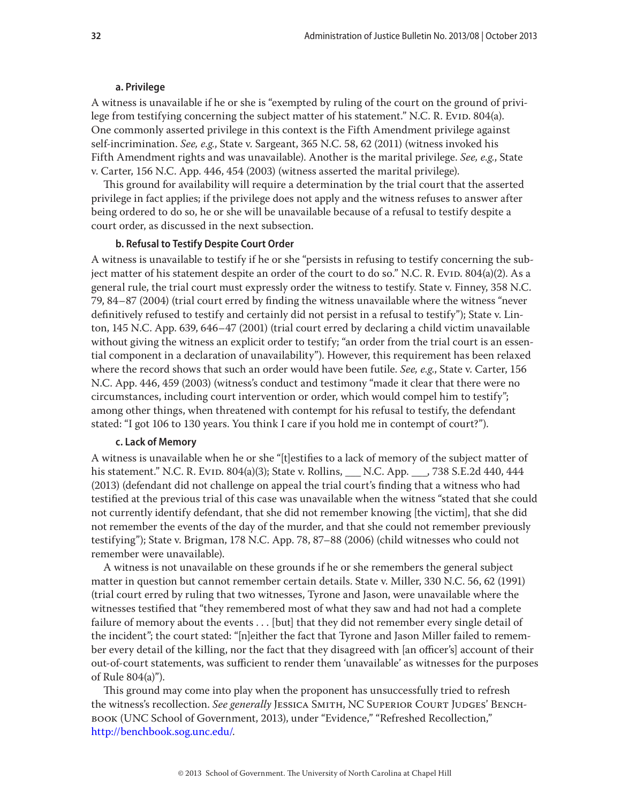#### **a. Privilege**

<span id="page-31-0"></span>A witness is unavailable if he or she is "exempted by ruling of the court on the ground of privilege from testifying concerning the subject matter of his statement." N.C. R. Evid. 804(a). One commonly asserted privilege in this context is the Fifth Amendment privilege against self-incrimination. *See, e.g.*, State v. Sargeant, 365 N.C. 58, 62 (2011) (witness invoked his Fifth Amendment rights and was unavailable). Another is the marital privilege. *See, e.g.*, State v. Carter, 156 N.C. App. 446, 454 (2003) (witness asserted the marital privilege).

This ground for availability will require a determination by the trial court that the asserted privilege in fact applies; if the privilege does not apply and the witness refuses to answer after being ordered to do so, he or she will be unavailable because of a refusal to testify despite a court order, as discussed in the next subsection.

#### **b. Refusal to Testify Despite Court Order**

A witness is unavailable to testify if he or she "persists in refusing to testify concerning the subject matter of his statement despite an order of the court to do so." N.C. R. Evid.  $804(a)(2)$ . As a general rule, the trial court must expressly order the witness to testify. State v. Finney, 358 N.C. 79, 84–87 (2004) (trial court erred by finding the witness unavailable where the witness "never definitively refused to testify and certainly did not persist in a refusal to testify"); State v. Linton, 145 N.C. App. 639, 646–47 (2001) (trial court erred by declaring a child victim unavailable without giving the witness an explicit order to testify; "an order from the trial court is an essential component in a declaration of unavailability"). However, this requirement has been relaxed where the record shows that such an order would have been futile. *See, e.g*., State v. Carter, 156 N.C. App. 446, 459 (2003) (witness's conduct and testimony "made it clear that there were no circumstances, including court intervention or order, which would compel him to testify"; among other things, when threatened with contempt for his refusal to testify, the defendant stated: "I got 106 to 130 years. You think I care if you hold me in contempt of court?").

## **c. Lack of Memory**

A witness is unavailable when he or she "[t]estifies to a lack of memory of the subject matter of his statement." N.C. R. Evid. 804(a)(3); State v. Rollins, \_\_\_ N.C. App. \_\_\_, 738 S.E.2d 440, 444 (2013) (defendant did not challenge on appeal the trial court's finding that a witness who had testified at the previous trial of this case was unavailable when the witness "stated that she could not currently identify defendant, that she did not remember knowing [the victim], that she did not remember the events of the day of the murder, and that she could not remember previously testifying"); State v. Brigman, 178 N.C. App. 78, 87–88 (2006) (child witnesses who could not remember were unavailable).

A witness is not unavailable on these grounds if he or she remembers the general subject matter in question but cannot remember certain details. State v. Miller, 330 N.C. 56, 62 (1991) (trial court erred by ruling that two witnesses, Tyrone and Jason, were unavailable where the witnesses testified that "they remembered most of what they saw and had not had a complete failure of memory about the events . . . [but] that they did not remember every single detail of the incident"; the court stated: "[n]either the fact that Tyrone and Jason Miller failed to remember every detail of the killing, nor the fact that they disagreed with [an officer's] account of their out-of-court statements, was sufficient to render them 'unavailable' as witnesses for the purposes of Rule 804(a)").

This ground may come into play when the proponent has unsuccessfully tried to refresh the witness's recollection. *See generally* Jessica Smith, NC Superior Court Judges' Benchbook (UNC School of Government, 2013), under "Evidence," "Refreshed Recollection," <http://benchbook.sog.unc.edu/>.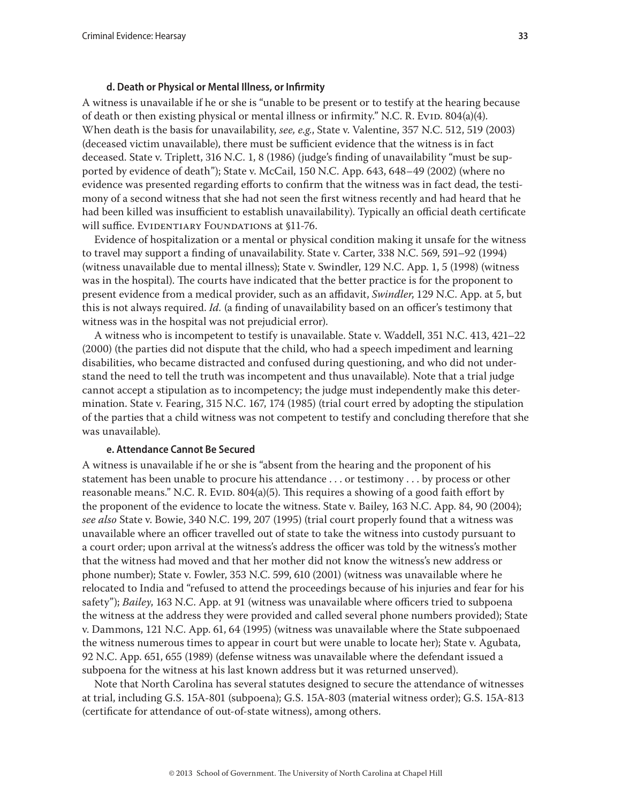#### **d. Death or Physical or Mental Illness, or Infirmity**

<span id="page-32-0"></span>A witness is unavailable if he or she is "unable to be present or to testify at the hearing because of death or then existing physical or mental illness or infirmity." N.C. R. Evid.  $804(a)(4)$ . When death is the basis for unavailability, *see, e.g.*, State v. Valentine, 357 N.C. 512, 519 (2003) (deceased victim unavailable), there must be sufficient evidence that the witness is in fact deceased. State v. Triplett, 316 N.C. 1, 8 (1986) (judge's finding of unavailability "must be supported by evidence of death"); State v. McCail, 150 N.C. App. 643, 648–49 (2002) (where no evidence was presented regarding efforts to confirm that the witness was in fact dead, the testimony of a second witness that she had not seen the first witness recently and had heard that he had been killed was insufficient to establish unavailability). Typically an official death certificate will suffice. EVIDENTIARY FOUNDATIONS at §11-76.

Evidence of hospitalization or a mental or physical condition making it unsafe for the witness to travel may support a finding of unavailability. State v. Carter, 338 N.C. 569, 591–92 (1994) (witness unavailable due to mental illness); State v. Swindler, 129 N.C. App. 1, 5 (1998) (witness was in the hospital). The courts have indicated that the better practice is for the proponent to present evidence from a medical provider, such as an affidavit, *Swindler*, 129 N.C. App. at 5, but this is not always required. *Id.* (a finding of unavailability based on an officer's testimony that witness was in the hospital was not prejudicial error).

A witness who is incompetent to testify is unavailable. State v. Waddell, 351 N.C. 413, 421–22 (2000) (the parties did not dispute that the child, who had a speech impediment and learning disabilities, who became distracted and confused during questioning, and who did not understand the need to tell the truth was incompetent and thus unavailable). Note that a trial judge cannot accept a stipulation as to incompetency; the judge must independently make this determination. State v. Fearing, 315 N.C. 167, 174 (1985) (trial court erred by adopting the stipulation of the parties that a child witness was not competent to testify and concluding therefore that she was unavailable).

#### **e. Attendance Cannot Be Secured**

A witness is unavailable if he or she is "absent from the hearing and the proponent of his statement has been unable to procure his attendance . . . or testimony . . . by process or other reasonable means." N.C. R. Evip.  $804(a)(5)$ . This requires a showing of a good faith effort by the proponent of the evidence to locate the witness. State v. Bailey, 163 N.C. App. 84, 90 (2004); *see also* State v. Bowie, 340 N.C. 199, 207 (1995) (trial court properly found that a witness was unavailable where an officer travelled out of state to take the witness into custody pursuant to a court order; upon arrival at the witness's address the officer was told by the witness's mother that the witness had moved and that her mother did not know the witness's new address or phone number); State v. Fowler, 353 N.C. 599, 610 (2001) (witness was unavailable where he relocated to India and "refused to attend the proceedings because of his injuries and fear for his safety"); *Bailey*, 163 N.C. App. at 91 (witness was unavailable where officers tried to subpoena the witness at the address they were provided and called several phone numbers provided); State v. Dammons, 121 N.C. App. 61, 64 (1995) (witness was unavailable where the State subpoenaed the witness numerous times to appear in court but were unable to locate her); State v. Agubata, 92 N.C. App. 651, 655 (1989) (defense witness was unavailable where the defendant issued a subpoena for the witness at his last known address but it was returned unserved).

Note that North Carolina has several statutes designed to secure the attendance of witnesses at trial, including G.S. 15A-801 (subpoena); G.S. 15A-803 (material witness order); G.S. 15A-813 (certificate for attendance of out-of-state witness), among others.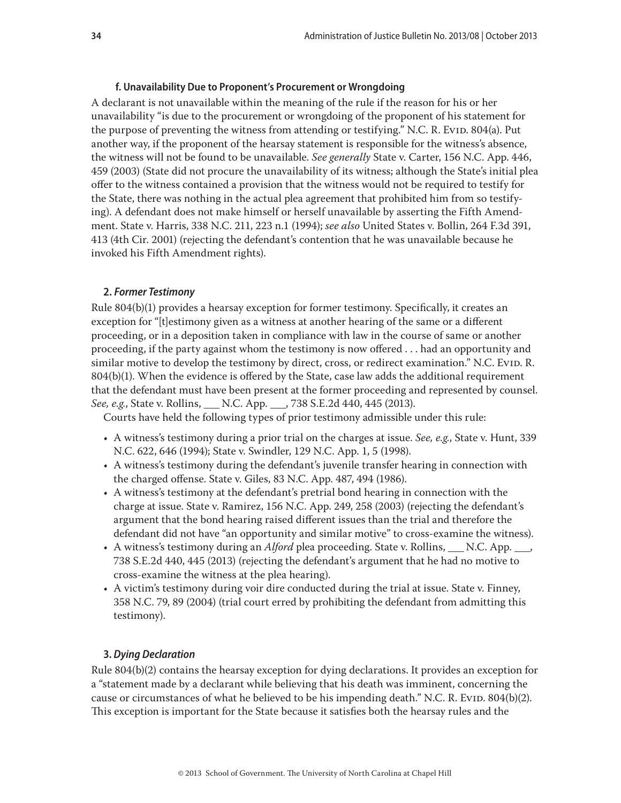## **f. Unavailability Due to Proponent's Procurement or Wrongdoing**

<span id="page-33-0"></span>A declarant is not unavailable within the meaning of the rule if the reason for his or her unavailability "is due to the procurement or wrongdoing of the proponent of his statement for the purpose of preventing the witness from attending or testifying." N.C. R. Evid. 804(a). Put another way, if the proponent of the hearsay statement is responsible for the witness's absence, the witness will not be found to be unavailable. *See generally* State v. Carter, 156 N.C. App. 446, 459 (2003) (State did not procure the unavailability of its witness; although the State's initial plea offer to the witness contained a provision that the witness would not be required to testify for the State, there was nothing in the actual plea agreement that prohibited him from so testifying). A defendant does not make himself or herself unavailable by asserting the Fifth Amendment. State v. Harris, 338 N.C. 211, 223 n.1 (1994); *see also* United States v. Bollin, 264 F.3d 391, 413 (4th Cir. 2001) (rejecting the defendant's contention that he was unavailable because he invoked his Fifth Amendment rights).

#### **2.** *Former Testimony*

Rule 804(b)(1) provides a hearsay exception for former testimony. Specifically, it creates an exception for "[t]estimony given as a witness at another hearing of the same or a different proceeding, or in a deposition taken in compliance with law in the course of same or another proceeding, if the party against whom the testimony is now offered . . . had an opportunity and similar motive to develop the testimony by direct, cross, or redirect examination." N.C. Evid. R. 804(b)(1). When the evidence is offered by the State, case law adds the additional requirement that the defendant must have been present at the former proceeding and represented by counsel. *See, e.g.*, State v. Rollins, \_\_\_ N.C. App. \_\_\_, 738 S.E.2d 440, 445 (2013).

Courts have held the following types of prior testimony admissible under this rule:

- A witness's testimony during a prior trial on the charges at issue. *See, e.g.*, State v. Hunt, 339 N.C. 622, 646 (1994); State v. Swindler, 129 N.C. App. 1, 5 (1998).
- A witness's testimony during the defendant's juvenile transfer hearing in connection with the charged offense. State v. Giles, 83 N.C. App. 487, 494 (1986).
- A witness's testimony at the defendant's pretrial bond hearing in connection with the charge at issue. State v. Ramirez, 156 N.C. App. 249, 258 (2003) (rejecting the defendant's argument that the bond hearing raised different issues than the trial and therefore the defendant did not have "an opportunity and similar motive" to cross-examine the witness).
- A witness's testimony during an *Alford* plea proceeding. State v. Rollins, N.C. App.  $\blacksquare$ , 738 S.E.2d 440, 445 (2013) (rejecting the defendant's argument that he had no motive to cross-examine the witness at the plea hearing).
- A victim's testimony during voir dire conducted during the trial at issue. State v. Finney, 358 N.C. 79, 89 (2004) (trial court erred by prohibiting the defendant from admitting this testimony).

## **3.** *Dying Declaration*

Rule 804(b)(2) contains the hearsay exception for dying declarations. It provides an exception for a "statement made by a declarant while believing that his death was imminent, concerning the cause or circumstances of what he believed to be his impending death." N.C. R. Evid. 804(b)(2). This exception is important for the State because it satisfies both the hearsay rules and the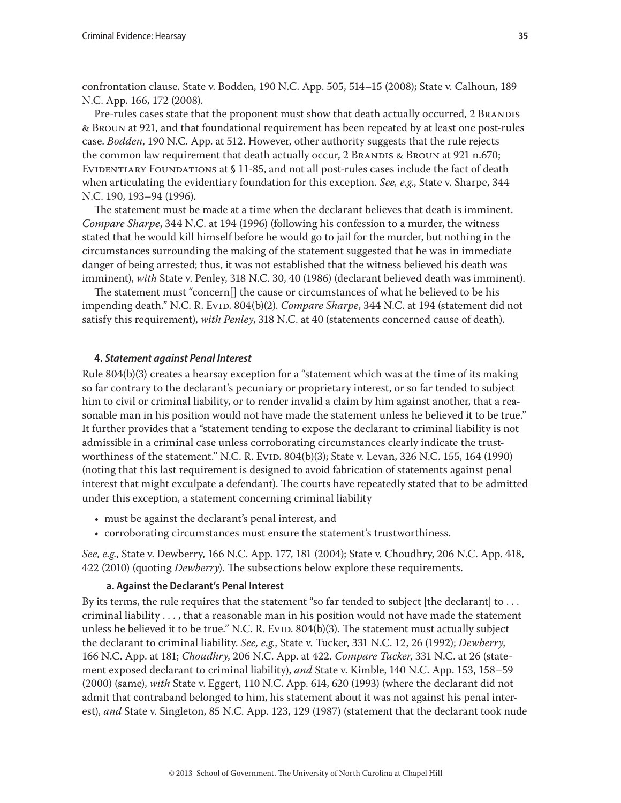<span id="page-34-0"></span>confrontation clause. State v. Bodden, 190 N.C. App. 505, 514–15 (2008); State v. Calhoun, 189 N.C. App. 166, 172 (2008).

Pre-rules cases state that the proponent must show that death actually occurred, 2 BRANDIS & Broun at 921, and that foundational requirement has been repeated by at least one post-rules case. *Bodden*, 190 N.C. App. at 512. However, other authority suggests that the rule rejects the common law requirement that death actually occur, 2 BRANDIS & BROUN at 921 n.670; EVIDENTIARY FOUNDATIONS at § 11-85, and not all post-rules cases include the fact of death when articulating the evidentiary foundation for this exception. *See, e.g*., State v. Sharpe, 344 N.C. 190, 193–94 (1996).

The statement must be made at a time when the declarant believes that death is imminent. *Compare Sharpe*, 344 N.C. at 194 (1996) (following his confession to a murder, the witness stated that he would kill himself before he would go to jail for the murder, but nothing in the circumstances surrounding the making of the statement suggested that he was in immediate danger of being arrested; thus, it was not established that the witness believed his death was imminent), *with* State v. Penley, 318 N.C. 30, 40 (1986) (declarant believed death was imminent).

The statement must "concern[] the cause or circumstances of what he believed to be his impending death." N.C. R. Evid. 804(b)(2). *Compare Sharpe*, 344 N.C. at 194 (statement did not satisfy this requirement), *with Penley*, 318 N.C. at 40 (statements concerned cause of death).

## **4.** *Statement against Penal Interest*

Rule 804(b)(3) creates a hearsay exception for a "statement which was at the time of its making so far contrary to the declarant's pecuniary or proprietary interest, or so far tended to subject him to civil or criminal liability, or to render invalid a claim by him against another, that a reasonable man in his position would not have made the statement unless he believed it to be true." It further provides that a "statement tending to expose the declarant to criminal liability is not admissible in a criminal case unless corroborating circumstances clearly indicate the trustworthiness of the statement." N.C. R. Evid. 804(b)(3); State v. Levan, 326 N.C. 155, 164 (1990) (noting that this last requirement is designed to avoid fabrication of statements against penal interest that might exculpate a defendant). The courts have repeatedly stated that to be admitted under this exception, a statement concerning criminal liability

- must be against the declarant's penal interest, and
- corroborating circumstances must ensure the statement's trustworthiness.

*See, e.g.*, State v. Dewberry, 166 N.C. App. 177, 181 (2004); State v. Choudhry, 206 N.C. App. 418, 422 (2010) (quoting *Dewberry*). The subsections below explore these requirements.

#### **a. Against the Declarant's Penal Interest**

By its terms, the rule requires that the statement "so far tended to subject [the declarant] to . . . criminal liability . . . , that a reasonable man in his position would not have made the statement unless he believed it to be true." N.C. R. Evid.  $804(b)(3)$ . The statement must actually subject the declarant to criminal liability. *See, e.g.*, State v. Tucker, 331 N.C. 12, 26 (1992); *Dewberry*, 166 N.C. App. at 181; *Choudhry*, 206 N.C. App. at 422. *Compare Tucker*, 331 N.C. at 26 (statement exposed declarant to criminal liability), *and* State v. Kimble, 140 N.C. App. 153, 158–59 (2000) (same), *with* State v. Eggert, 110 N.C. App. 614, 620 (1993) (where the declarant did not admit that contraband belonged to him, his statement about it was not against his penal interest), *and* State v. Singleton, 85 N.C. App. 123, 129 (1987) (statement that the declarant took nude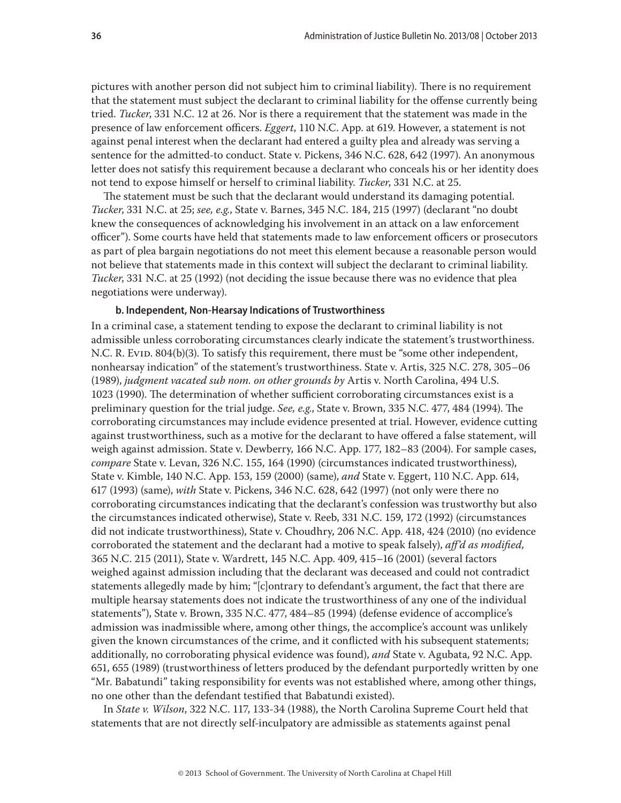<span id="page-35-0"></span>pictures with another person did not subject him to criminal liability). There is no requirement that the statement must subject the declarant to criminal liability for the offense currently being tried. *Tucker*, 331 N.C. 12 at 26. Nor is there a requirement that the statement was made in the presence of law enforcement officers. *Eggert*, 110 N.C. App. at 619. However, a statement is not against penal interest when the declarant had entered a guilty plea and already was serving a sentence for the admitted-to conduct. State v. Pickens, 346 N.C. 628, 642 (1997). An anonymous letter does not satisfy this requirement because a declarant who conceals his or her identity does not tend to expose himself or herself to criminal liability. *Tucker*, 331 N.C. at 25.

The statement must be such that the declarant would understand its damaging potential. *Tucker*, 331 N.C. at 25; *see, e.g.*, State v. Barnes, 345 N.C. 184, 215 (1997) (declarant "no doubt knew the consequences of acknowledging his involvement in an attack on a law enforcement officer"). Some courts have held that statements made to law enforcement officers or prosecutors as part of plea bargain negotiations do not meet this element because a reasonable person would not believe that statements made in this context will subject the declarant to criminal liability. *Tucker*, 331 N.C. at 25 (1992) (not deciding the issue because there was no evidence that plea negotiations were underway).

#### **b. Independent, Non-Hearsay Indications of Trustworthiness**

In a criminal case, a statement tending to expose the declarant to criminal liability is not admissible unless corroborating circumstances clearly indicate the statement's trustworthiness. N.C. R. Evid. 804(b)(3). To satisfy this requirement, there must be "some other independent, nonhearsay indication" of the statement's trustworthiness. State v. Artis, 325 N.C. 278, 305–06 (1989), *judgment vacated sub nom. on other grounds by* Artis v. North Carolina, 494 U.S. 1023 (1990). The determination of whether sufficient corroborating circumstances exist is a preliminary question for the trial judge. *See, e.g*., State v. Brown, 335 N.C. 477, 484 (1994). The corroborating circumstances may include evidence presented at trial. However, evidence cutting against trustworthiness, such as a motive for the declarant to have offered a false statement, will weigh against admission. State v. Dewberry, 166 N.C. App. 177, 182–83 (2004). For sample cases, *compare* State v. Levan, 326 N.C. 155, 164 (1990) (circumstances indicated trustworthiness), State v. Kimble, 140 N.C. App. 153, 159 (2000) (same), *and* State v. Eggert, 110 N.C. App. 614, 617 (1993) (same), *with* State v. Pickens, 346 N.C. 628, 642 (1997) (not only were there no corroborating circumstances indicating that the declarant's confession was trustworthy but also the circumstances indicated otherwise), State v. Reeb, 331 N.C. 159, 172 (1992) (circumstances did not indicate trustworthiness), State v. Choudhry, 206 N.C. App. 418, 424 (2010) (no evidence corroborated the statement and the declarant had a motive to speak falsely), *aff'd as modified,* 365 N.C. 215 (2011), State v. Wardrett, 145 N.C. App. 409, 415–16 (2001) (several factors weighed against admission including that the declarant was deceased and could not contradict statements allegedly made by him; "[c]ontrary to defendant's argument, the fact that there are multiple hearsay statements does not indicate the trustworthiness of any one of the individual statements"), State v. Brown, 335 N.C. 477, 484–85 (1994) (defense evidence of accomplice's admission was inadmissible where, among other things, the accomplice's account was unlikely given the known circumstances of the crime, and it conflicted with his subsequent statements; additionally, no corroborating physical evidence was found), *and* State v. Agubata, 92 N.C. App. 651, 655 (1989) (trustworthiness of letters produced by the defendant purportedly written by one "Mr. Babatundi" taking responsibility for events was not established where, among other things, no one other than the defendant testified that Babatundi existed).

In *State v. Wilson*, 322 N.C. 117, 133-34 (1988), the North Carolina Supreme Court held that statements that are not directly self-inculpatory are admissible as statements against penal